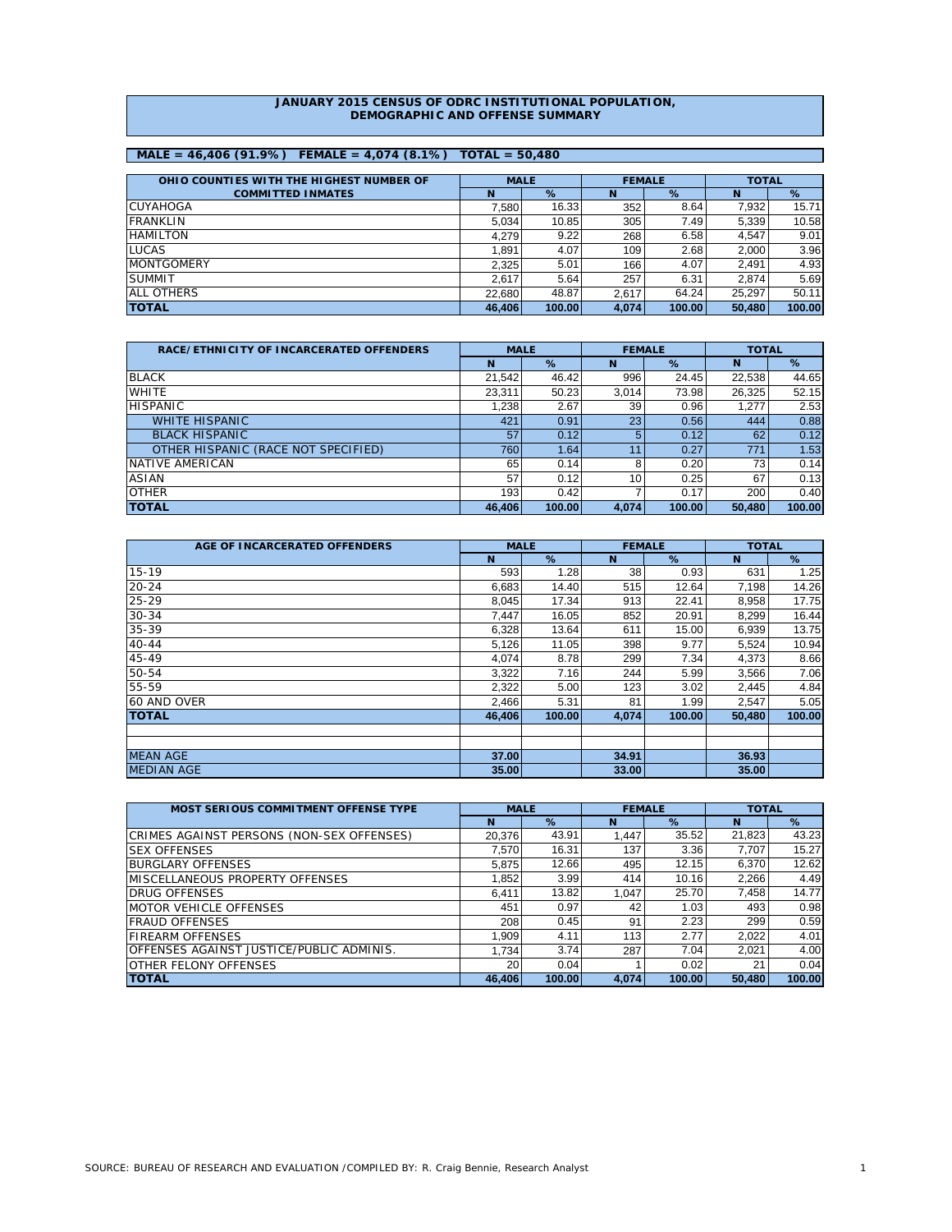### **JANUARY 2015 CENSUS OF ODRC INSTITUTIONAL POPULATION, DEMOGRAPHIC AND OFFENSE SUMMARY**

# **MALE = 46,406 (91.9%) FEMALE = 4,074 (8.1%) TOTAL = 50,480**

| OHIO COUNTIES WITH THE HIGHEST NUMBER OF | <b>MALE</b> |        |       | <b>FEMALE</b> | <b>TOTAL</b> |        |
|------------------------------------------|-------------|--------|-------|---------------|--------------|--------|
| <b>COMMITTED INMATES</b>                 | N           | %      | N     | %             | N            | %      |
| <b>CUYAHOGA</b>                          | 7.580       | 16.33  | 352   | 8.64          | 7.932        | 15.71  |
| <b>FRANKLIN</b>                          | 5.034       | 10.85  | 305   | 7.49          | 5.339        | 10.58  |
| <b>HAMILTON</b>                          | 4.279       | 9.22   | 268   | 6.58          | 4.547        | 9.01   |
| <b>LUCAS</b>                             | .891        | 4.07   | 109   | 2.68          | 2.000        | 3.96   |
| <b>MONTGOMERY</b>                        | 2.325       | 5.01   | 166   | 4.07          | 2.491        | 4.93   |
| <b>SUMMIT</b>                            | 2.617       | 5.64   | 257   | 6.31          | 2.874        | 5.69   |
| <b>ALL OTHERS</b>                        | 22.680      | 48.87  | 2.617 | 64.24         | 25.297       | 50.11  |
| <b>TOTAL</b>                             | 46.406      | 100.00 | 4.074 | 100.00        | 50,480       | 100.00 |

| <b>RACE/ETHNICITY OF INCARCERATED OFFENDERS</b> | <b>MALE</b> |        | <b>FEMALE</b> |        | <b>TOTAL</b> |        |  |
|-------------------------------------------------|-------------|--------|---------------|--------|--------------|--------|--|
|                                                 | N           | %      | N             | %      | N            | %      |  |
| <b>BLACK</b>                                    | 21.542      | 46.42  | 996           | 24.45  | 22,538       | 44.65  |  |
| <b>WHITE</b>                                    | 23,311      | 50.23  | 3,014         | 73.98  | 26,325       | 52.15  |  |
| <b>HISPANIC</b>                                 | 1.238       | 2.67   | 39            | 0.96   | 1.277        | 2.53   |  |
| <b>WHITE HISPANIC</b>                           | 421         | 0.91   | 23            | 0.56   | 444          | 0.88   |  |
| <b>BLACK HISPANIC</b>                           | 57          | 0.12   |               | 0.12   | 62           | 0.12   |  |
| OTHER HISPANIC (RACE NOT SPECIFIED)             | 760         | 1.64   | 11            | 0.27   | 771          | 1.53   |  |
| NATIVE AMERICAN                                 | 65          | 0.14   |               | 0.20   | 73           | 0.14   |  |
| <b>ASIAN</b>                                    | 57          | 0.12   | 10            | 0.25   | 67           | 0.13   |  |
| <b>OTHER</b>                                    | 193         | 0.42   |               | 0.17   | 200          | 0.40   |  |
| <b>TOTAL</b>                                    | 46,406      | 100.00 | 4,074         | 100.00 | 50,480       | 100.00 |  |

| AGE OF INCARCERATED OFFENDERS | <b>MALE</b> |        | <b>FEMALE</b> |        | <b>TOTAL</b> |        |  |
|-------------------------------|-------------|--------|---------------|--------|--------------|--------|--|
|                               | N           | %      | N             | %      | N            | %      |  |
| $15 - 19$                     | 593         | 1.28   | 38            | 0.93   | 631          | 1.25   |  |
| $20 - 24$                     | 6,683       | 14.40  | 515           | 12.64  | 7,198        | 14.26  |  |
| $25 - 29$                     | 8,045       | 17.34  | 913           | 22.41  | 8,958        | 17.75  |  |
| $30 - 34$                     | 7,447       | 16.05  | 852           | 20.91  | 8,299        | 16.44  |  |
| 35-39                         | 6,328       | 13.64  | 611           | 15.00  | 6,939        | 13.75  |  |
| $40 - 44$                     | 5,126       | 11.05  | 398           | 9.77   | 5,524        | 10.94  |  |
| 45-49                         | 4,074       | 8.78   | 299           | 7.34   | 4,373        | 8.66   |  |
| 50-54                         | 3,322       | 7.16   | 244           | 5.99   | 3,566        | 7.06   |  |
| 55-59                         | 2,322       | 5.00   | 123           | 3.02   | 2,445        | 4.84   |  |
| 60 AND OVER                   | 2,466       | 5.31   | 81            | 1.99   | 2,547        | 5.05   |  |
| <b>TOTAL</b>                  | 46.406      | 100.00 | 4,074         | 100.00 | 50,480       | 100.00 |  |
|                               |             |        |               |        |              |        |  |
|                               |             |        |               |        |              |        |  |
| <b>MEAN AGE</b>               | 37.00       |        | 34.91         |        | 36.93        |        |  |
| <b>MEDIAN AGE</b>             | 35.00       |        | 33.00         |        | 35.00        |        |  |

| MOST SERIOUS COMMITMENT OFFENSE TYPE      | <b>MALE</b> |        |       | <b>FEMALE</b> | <b>TOTAL</b> |        |  |
|-------------------------------------------|-------------|--------|-------|---------------|--------------|--------|--|
|                                           | N           | %      | N     | %             | N            | %      |  |
| CRIMES AGAINST PERSONS (NON-SEX OFFENSES) | 20.376      | 43.91  | 1.447 | 35.52         | 21,823       | 43.23  |  |
| <b>ISEX OFFENSES</b>                      | 7.570       | 16.31  | 137   | 3.36          | 7.707        | 15.27  |  |
| <b>BURGLARY OFFENSES</b>                  | 5.875       | 12.66  | 495   | 12.15         | 6.370        | 12.62  |  |
| IMISCELLANEOUS PROPERTY OFFENSES          | 1.852       | 3.99   | 414   | 10.16         | 2,266        | 4.49   |  |
| <b>DRUG OFFENSES</b>                      | 6.411       | 13.82  | 1.047 | 25.70         | 7.458        | 14.77  |  |
| <b>IMOTOR VEHICLE OFFENSES</b>            | 451         | 0.97   | 42    | 1.03          | 493          | 0.98   |  |
| <b>FRAUD OFFENSES</b>                     | 208         | 0.45   | 91    | 2.23          | 299          | 0.59   |  |
| <b>FIREARM OFFENSES</b>                   | 1.909       | 4.11   | 113   | 2.77          | 2.022        | 4.01   |  |
| OFFENSES AGAINST JUSTICE/PUBLIC ADMINIS.  | 1.734       | 3.74   | 287   | 7.04          | 2.021        | 4.00   |  |
| OTHER FELONY OFFENSES                     | 20          | 0.04   |       | 0.02          | 21           | 0.04   |  |
| <b>TOTAL</b>                              | 46.406      | 100.00 | 4.074 | 100.00        | 50.480       | 100.00 |  |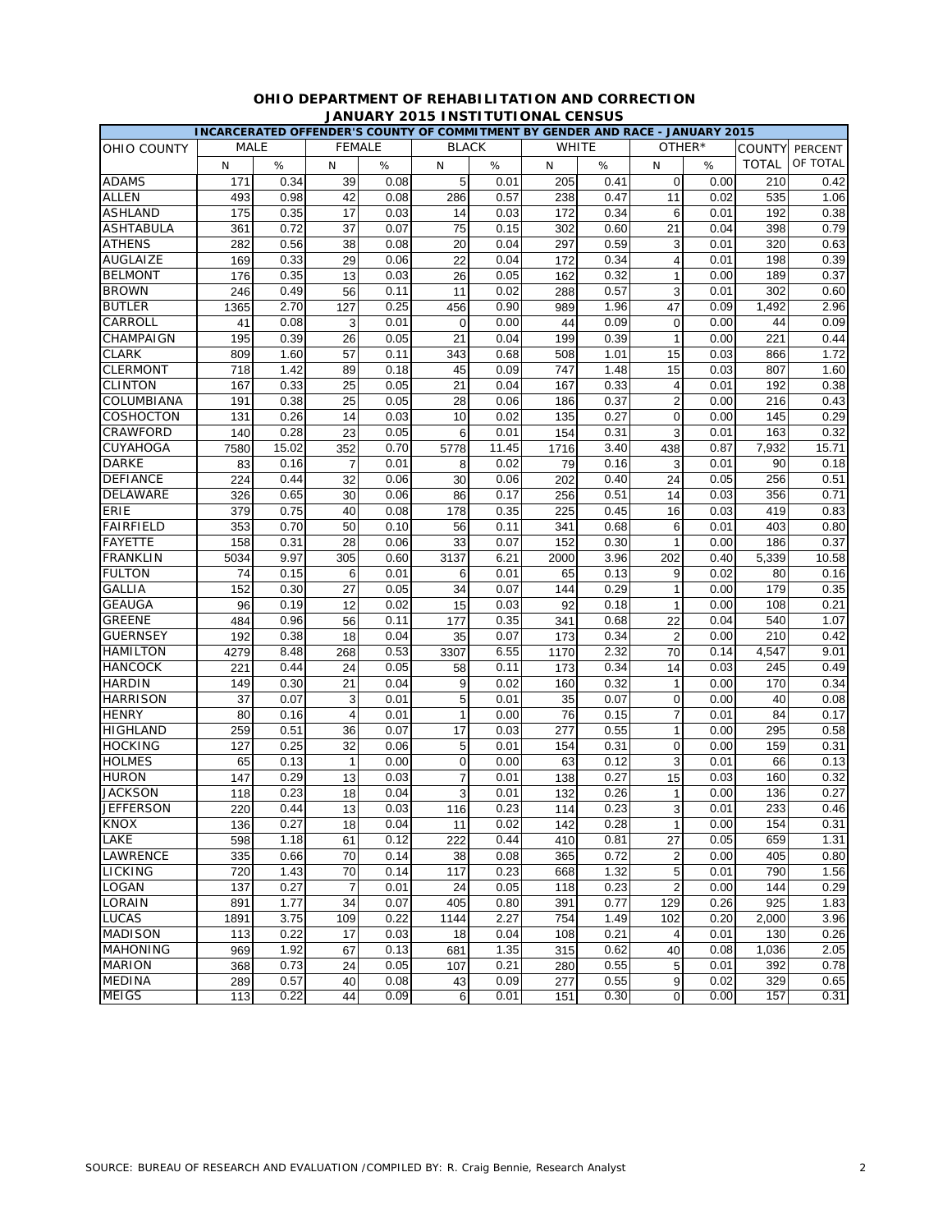|                    | INCARCERATED OFFENDER'S COUNTY OF COMMITMENT BY GENDER AND RACE - JANUARY 2015 |       |                |      |                |       |              |      |                         |        |               |          |
|--------------------|--------------------------------------------------------------------------------|-------|----------------|------|----------------|-------|--------------|------|-------------------------|--------|---------------|----------|
| <b>OHIO COUNTY</b> | MALE                                                                           |       | <b>FEMALE</b>  |      | <b>BLACK</b>   |       | <b>WHITE</b> |      |                         | OTHER* | <b>COUNTY</b> | PERCENT  |
|                    | N                                                                              | $\%$  | N              | $\%$ | N              | %     | N            | %    | N                       | %      | <b>TOTAL</b>  | OF TOTAL |
| <b>ADAMS</b>       | 171                                                                            | 0.34  | 39             | 0.08 | 5              | 0.01  | 205          | 0.41 | $\mathbf 0$             | 0.00   | 210           | 0.42     |
| <b>ALLEN</b>       | 493                                                                            | 0.98  | 42             | 0.08 | 286            | 0.57  | 238          | 0.47 | 11                      | 0.02   | 535           | 1.06     |
| <b>ASHLAND</b>     | 175                                                                            | 0.35  | 17             | 0.03 | 14             | 0.03  | 172          | 0.34 | 6                       | 0.01   | 192           | 0.38     |
| <b>ASHTABULA</b>   | 361                                                                            | 0.72  | 37             | 0.07 | 75             | 0.15  | 302          | 0.60 | 21                      | 0.04   | 398           | 0.79     |
| <b>ATHENS</b>      | 282                                                                            | 0.56  | 38             | 0.08 | 20             | 0.04  | 297          | 0.59 | 3                       | 0.01   | 320           | 0.63     |
| AUGLAIZE           | 169                                                                            | 0.33  | 29             | 0.06 | 22             | 0.04  | 172          | 0.34 | 4                       | 0.01   | 198           | 0.39     |
| <b>BELMONT</b>     | 176                                                                            | 0.35  | 13             | 0.03 | 26             | 0.05  | 162          | 0.32 | $\overline{1}$          | 0.00   | 189           | 0.37     |
| <b>BROWN</b>       | 246                                                                            | 0.49  | 56             | 0.11 | 11             | 0.02  | 288          | 0.57 | 3                       | 0.01   | 302           | 0.60     |
| <b>BUTLER</b>      | 1365                                                                           | 2.70  | 127            | 0.25 | 456            | 0.90  | 989          | 1.96 | 47                      | 0.09   | 1,492         | 2.96     |
| CARROLL            | 41                                                                             | 0.08  | 3              | 0.01 | 0              | 0.00  | 44           | 0.09 | $\mathbf 0$             | 0.00   | 44            | 0.09     |
| CHAMPAIGN          | 195                                                                            | 0.39  | 26             | 0.05 | 21             | 0.04  | 199          | 0.39 | 1                       | 0.00   | 221           | 0.44     |
| <b>CLARK</b>       | 809                                                                            | 1.60  | 57             | 0.11 | 343            | 0.68  | 508          | 1.01 | 15                      | 0.03   | 866           | 1.72     |
| <b>CLERMONT</b>    | 718                                                                            | 1.42  | 89             | 0.18 | 45             | 0.09  | 747          | 1.48 | 15                      | 0.03   | 807           | 1.60     |
| <b>CLINTON</b>     | 167                                                                            | 0.33  | 25             | 0.05 | 21             | 0.04  | 167          | 0.33 | $\overline{4}$          | 0.01   | 192           | 0.38     |
| COLUMBIANA         | 191                                                                            | 0.38  | 25             | 0.05 | 28             | 0.06  | 186          | 0.37 | $\overline{2}$          | 0.00   | 216           | 0.43     |
| COSHOCTON          | 131                                                                            | 0.26  | 14             | 0.03 | 10             | 0.02  | 135          | 0.27 | 0                       | 0.00   | 145           | 0.29     |
| CRAWFORD           | 140                                                                            | 0.28  | 23             | 0.05 | 6              | 0.01  | 154          | 0.31 | 3                       | 0.01   | 163           | 0.32     |
| CUYAHOGA           | 7580                                                                           | 15.02 | 352            | 0.70 | 5778           | 11.45 | 1716         | 3.40 | 438                     | 0.87   | 7,932         | 15.71    |
| <b>DARKE</b>       | 83                                                                             | 0.16  | 7              | 0.01 | 8              | 0.02  | 79           | 0.16 | 3                       | 0.01   | 90            | 0.18     |
| <b>DEFIANCE</b>    | 224                                                                            | 0.44  | 32             | 0.06 | 30             | 0.06  | 202          | 0.40 | 24                      | 0.05   | 256           | 0.51     |
| <b>DELAWARE</b>    | 326                                                                            | 0.65  | 30             | 0.06 | 86             | 0.17  | 256          | 0.51 | 14                      | 0.03   | 356           | 0.71     |
| ERIE               | 379                                                                            | 0.75  | 40             | 0.08 | 178            | 0.35  | 225          | 0.45 | 16                      | 0.03   | 419           | 0.83     |
| <b>FAIRFIELD</b>   | 353                                                                            | 0.70  | 50             | 0.10 | 56             | 0.11  | 341          | 0.68 | 6                       | 0.01   | 403           | 0.80     |
| <b>FAYETTE</b>     | 158                                                                            | 0.31  | 28             | 0.06 | 33             | 0.07  | 152          | 0.30 | $\overline{1}$          | 0.00   | 186           | 0.37     |
| <b>FRANKLIN</b>    | 5034                                                                           | 9.97  | 305            | 0.60 | 3137           | 6.21  | 2000         | 3.96 | 202                     | 0.40   | 5,339         | 10.58    |
| <b>FULTON</b>      | 74                                                                             | 0.15  | 6              | 0.01 | 6              | 0.01  | 65           | 0.13 | 9                       | 0.02   | 80            | 0.16     |
| <b>GALLIA</b>      | 152                                                                            | 0.30  | 27             | 0.05 | 34             | 0.07  | 144          | 0.29 | $\mathbf{1}$            | 0.00   | 179           | 0.35     |
| <b>GEAUGA</b>      | 96                                                                             | 0.19  | 12             | 0.02 | 15             | 0.03  | 92           | 0.18 | 1                       | 0.00   | 108           | 0.21     |
| <b>GREENE</b>      | 484                                                                            | 0.96  | 56             | 0.11 | 177            | 0.35  | 341          | 0.68 | 22                      | 0.04   | 540           | 1.07     |
| <b>GUERNSEY</b>    | 192                                                                            | 0.38  | 18             | 0.04 | 35             | 0.07  | 173          | 0.34 | $\overline{2}$          | 0.00   | 210           | 0.42     |
| <b>HAMILTON</b>    | 4279                                                                           | 8.48  | 268            | 0.53 | 3307           | 6.55  | 1170         | 2.32 | 70                      | 0.14   | 4,547         | 9.01     |
| <b>HANCOCK</b>     | 221                                                                            | 0.44  | 24             | 0.05 | 58             | 0.11  | 173          | 0.34 | 14                      | 0.03   | 245           | 0.49     |
| <b>HARDIN</b>      | 149                                                                            | 0.30  | 21             | 0.04 | 9              | 0.02  | 160          | 0.32 | $\mathbf{1}$            | 0.00   | 170           | 0.34     |
| <b>HARRISON</b>    | 37                                                                             | 0.07  | 3              | 0.01 | 5              | 0.01  | 35           | 0.07 | 0                       | 0.00   | 40            | 0.08     |
| <b>HENRY</b>       | 80                                                                             | 0.16  | $\overline{4}$ | 0.01 | $\mathbf{1}$   | 0.00  | 76           | 0.15 | $\overline{7}$          | 0.01   | 84            | 0.17     |
| <b>HIGHLAND</b>    | 259                                                                            | 0.51  | 36             | 0.07 | 17             | 0.03  | 277          | 0.55 | $\mathbf{1}$            | 0.00   | 295           | 0.58     |
| <b>HOCKING</b>     | 127                                                                            | 0.25  | 32             | 0.06 | 5              | 0.01  | 154          | 0.31 | 0                       | 0.00   | 159           | 0.31     |
| <b>HOLMES</b>      | 65                                                                             | 0.13  | $\mathbf{1}$   | 0.00 | $\mathbf 0$    | 0.00  | 63           | 0.12 | 3                       | 0.01   | 66            | 0.13     |
| <b>HURON</b>       | 147                                                                            | 0.29  | 13             | 0.03 | $\overline{7}$ | 0.01  | 138          | 0.27 | 15                      | 0.03   | 160           | 0.32     |
| <b>JACKSON</b>     | 118                                                                            | 0.23  | 18             | 0.04 | 3              | 0.01  | 132          | 0.26 | $\mathbf{1}$            | 0.00   | 136           | 0.27     |
| <b>JEFFERSON</b>   | 220                                                                            | 0.44  | 13             | 0.03 | 116            | 0.23  | 114          | 0.23 | 3                       | 0.01   | 233           | 0.46     |
| KNOX               | 136                                                                            | 0.27  | 18             | 0.04 | 11             | 0.02  | 142          | 0.28 | $\mathbf{1}$            | 0.00   | 154           | 0.31     |
| LAKE               | 598                                                                            | 1.18  | 61             | 0.12 | 222            | 0.44  | 410          | 0.81 | 27                      | 0.05   | 659           | 1.31     |
| LAWRENCE           | 335                                                                            | 0.66  | 70             | 0.14 | 38             | 0.08  | 365          | 0.72 | $\boldsymbol{2}$        | 0.00   | 405           | 0.80     |
| LICKING            | 720                                                                            | 1.43  | 70             | 0.14 | 117            | 0.23  | 668          | 1.32 | 5                       | 0.01   | 790           | 1.56     |
| LOGAN              | 137                                                                            | 0.27  | $\overline{7}$ | 0.01 | 24             | 0.05  | 118          | 0.23 | $\overline{2}$          | 0.00   | 144           | 0.29     |
| LORAIN             | 891                                                                            | 1.77  | 34             | 0.07 | 405            | 0.80  | 391          | 0.77 | 129                     | 0.26   | 925           | 1.83     |
| <b>LUCAS</b>       | 1891                                                                           | 3.75  | 109            | 0.22 | 1144           | 2.27  | 754          | 1.49 | 102                     | 0.20   | 2,000         | 3.96     |
| <b>MADISON</b>     | 113                                                                            | 0.22  | 17             | 0.03 | 18             | 0.04  | 108          | 0.21 | $\overline{\mathbf{4}}$ | 0.01   | 130           | 0.26     |
| <b>MAHONING</b>    | 969                                                                            | 1.92  | 67             | 0.13 | 681            | 1.35  | 315          | 0.62 | 40                      | 0.08   | 1,036         | 2.05     |
| <b>MARION</b>      | 368                                                                            | 0.73  | 24             | 0.05 | 107            | 0.21  | 280          | 0.55 | 5                       | 0.01   | 392           | 0.78     |
| <b>MEDINA</b>      | 289                                                                            | 0.57  | 40             | 0.08 | 43             | 0.09  | 277          | 0.55 | 9                       | 0.02   | 329           | 0.65     |
| <b>MEIGS</b>       | 113                                                                            | 0.22  | 44             | 0.09 | 6              | 0.01  | 151          | 0.30 | $\mathbf 0$             | 0.00   | 157           | 0.31     |
|                    |                                                                                |       |                |      |                |       |              |      |                         |        |               |          |

# **OHIO DEPARTMENT OF REHABILITATION AND CORRECTION JANUARY 2015 INSTITUTIONAL CENSUS**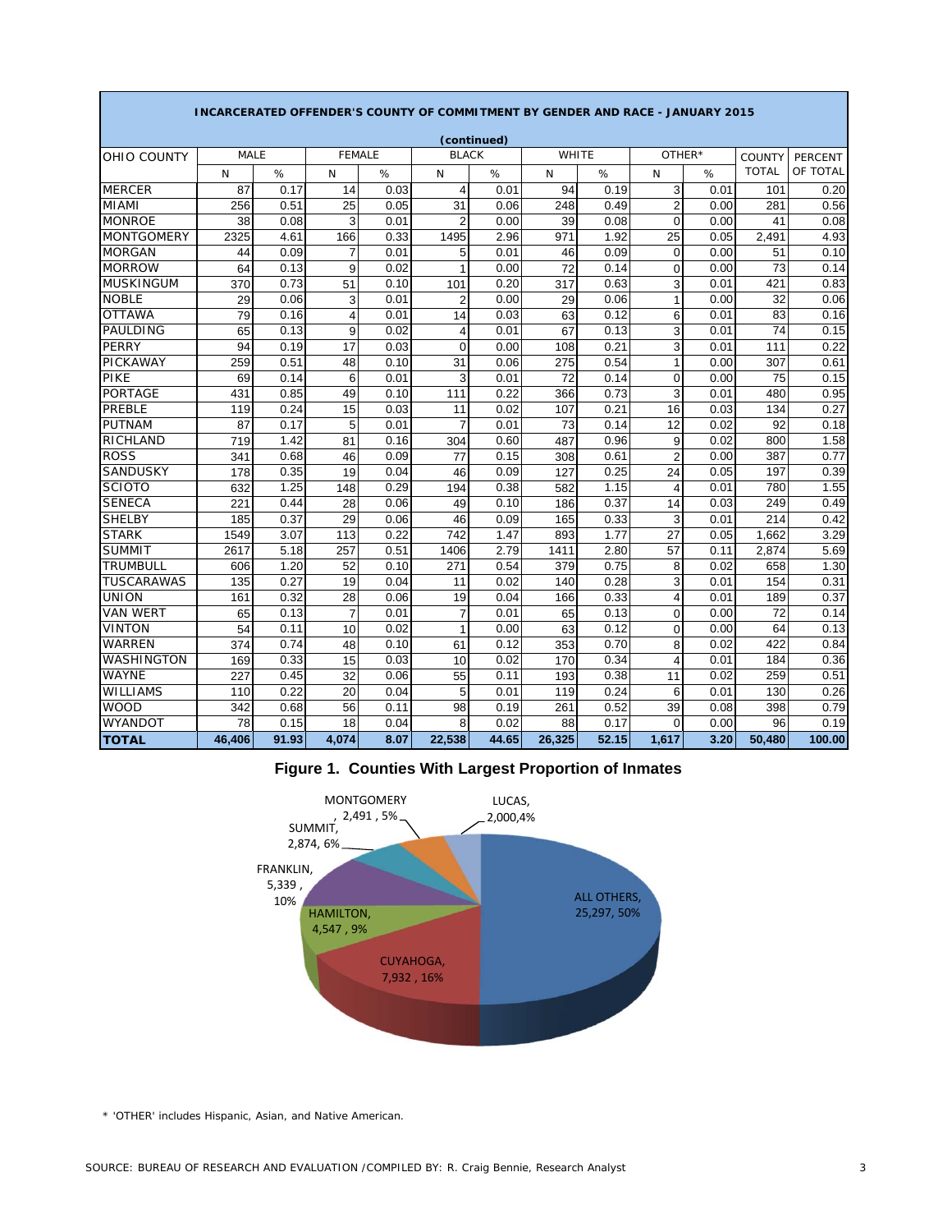|                   | <b>INCARCERATED OFFENDER'S COUNTY OF COMMITMENT BY GENDER AND RACE - JANUARY 2015</b> |       |                         |      |                |             |              |       |                |      |               |                |  |
|-------------------|---------------------------------------------------------------------------------------|-------|-------------------------|------|----------------|-------------|--------------|-------|----------------|------|---------------|----------------|--|
|                   |                                                                                       |       |                         |      |                | (continued) |              |       |                |      |               |                |  |
| OHIO COUNTY       | <b>MALE</b>                                                                           |       | <b>FEMALE</b>           |      | <b>BLACK</b>   |             | <b>WHITE</b> |       | OTHER*         |      | <b>COUNTY</b> | <b>PERCENT</b> |  |
|                   | N                                                                                     | $\%$  | N                       | $\%$ | N              | %           | N            | $\%$  | N              | %    | <b>TOTAL</b>  | OF TOTAL       |  |
| <b>MERCER</b>     | 87                                                                                    | 0.17  | 14                      | 0.03 | $\overline{4}$ | 0.01        | 94           | 0.19  | 3              | 0.01 | 101           | 0.20           |  |
| <b>MIAMI</b>      | 256                                                                                   | 0.51  | 25                      | 0.05 | 31             | 0.06        | 248          | 0.49  | $\overline{2}$ | 0.00 | 281           | 0.56           |  |
| <b>MONROE</b>     | 38                                                                                    | 0.08  | 3                       | 0.01 | $\overline{2}$ | 0.00        | 39           | 0.08  | 0              | 0.00 | 41            | 0.08           |  |
| <b>MONTGOMERY</b> | 2325                                                                                  | 4.61  | 166                     | 0.33 | 1495           | 2.96        | 971          | 1.92  | 25             | 0.05 | 2,491         | 4.93           |  |
| <b>MORGAN</b>     | 44                                                                                    | 0.09  | $\overline{7}$          | 0.01 | 5              | 0.01        | 46           | 0.09  | $\mathbf 0$    | 0.00 | 51            | 0.10           |  |
| <b>MORROW</b>     | 64                                                                                    | 0.13  | 9                       | 0.02 | $\mathbf{1}$   | 0.00        | 72           | 0.14  | $\overline{0}$ | 0.00 | 73            | 0.14           |  |
| <b>MUSKINGUM</b>  | 370                                                                                   | 0.73  | 51                      | 0.10 | 101            | 0.20        | 317          | 0.63  | 3              | 0.01 | 421           | 0.83           |  |
| <b>NOBLE</b>      | 29                                                                                    | 0.06  | 3                       | 0.01 | $\overline{2}$ | 0.00        | 29           | 0.06  | 1              | 0.00 | 32            | 0.06           |  |
| <b>OTTAWA</b>     | 79                                                                                    | 0.16  | $\overline{\mathbf{4}}$ | 0.01 | 14             | 0.03        | 63           | 0.12  | 6              | 0.01 | 83            | 0.16           |  |
| <b>PAULDING</b>   | 65                                                                                    | 0.13  | 9                       | 0.02 | 4              | 0.01        | 67           | 0.13  | 3              | 0.01 | 74            | 0.15           |  |
| <b>PERRY</b>      | 94                                                                                    | 0.19  | 17                      | 0.03 | $\Omega$       | 0.00        | 108          | 0.21  | 3              | 0.01 | 111           | 0.22           |  |
| PICKAWAY          | 259                                                                                   | 0.51  | 48                      | 0.10 | 31             | 0.06        | 275          | 0.54  | $\mathbf{1}$   | 0.00 | 307           | 0.61           |  |
| PIKE              | 69                                                                                    | 0.14  | 6                       | 0.01 | 3              | 0.01        | 72           | 0.14  | 0              | 0.00 | 75            | 0.15           |  |
| <b>PORTAGE</b>    | 431                                                                                   | 0.85  | 49                      | 0.10 | 111            | 0.22        | 366          | 0.73  | 3              | 0.01 | 480           | 0.95           |  |
| <b>PREBLE</b>     | 119                                                                                   | 0.24  | 15                      | 0.03 | 11             | 0.02        | 107          | 0.21  | 16             | 0.03 | 134           | 0.27           |  |
| <b>PUTNAM</b>     | 87                                                                                    | 0.17  | 5                       | 0.01 | $\overline{7}$ | 0.01        | 73           | 0.14  | 12             | 0.02 | 92            | 0.18           |  |
| RICHLAND          | 719                                                                                   | 1.42  | 81                      | 0.16 | 304            | 0.60        | 487          | 0.96  | 9              | 0.02 | 800           | 1.58           |  |
| <b>ROSS</b>       | 341                                                                                   | 0.68  | 46                      | 0.09 | 77             | 0.15        | 308          | 0.61  | $\overline{c}$ | 0.00 | 387           | 0.77           |  |
| <b>SANDUSKY</b>   | 178                                                                                   | 0.35  | 19                      | 0.04 | 46             | 0.09        | 127          | 0.25  | 24             | 0.05 | 197           | 0.39           |  |
| <b>SCIOTO</b>     | 632                                                                                   | 1.25  | 148                     | 0.29 | 194            | 0.38        | 582          | 1.15  | 4              | 0.01 | 780           | 1.55           |  |
| <b>SENECA</b>     | 221                                                                                   | 0.44  | 28                      | 0.06 | 49             | 0.10        | 186          | 0.37  | 14             | 0.03 | 249           | 0.49           |  |
| <b>SHELBY</b>     | 185                                                                                   | 0.37  | 29                      | 0.06 | 46             | 0.09        | 165          | 0.33  | 3              | 0.01 | 214           | 0.42           |  |
| <b>STARK</b>      | 1549                                                                                  | 3.07  | 113                     | 0.22 | 742            | 1.47        | 893          | 1.77  | 27             | 0.05 | 1,662         | 3.29           |  |
| <b>SUMMIT</b>     | 2617                                                                                  | 5.18  | 257                     | 0.51 | 1406           | 2.79        | 1411         | 2.80  | 57             | 0.11 | 2,874         | 5.69           |  |
| <b>TRUMBULL</b>   | 606                                                                                   | 1.20  | 52                      | 0.10 | 271            | 0.54        | 379          | 0.75  | 8              | 0.02 | 658           | 1.30           |  |
| <b>TUSCARAWAS</b> | 135                                                                                   | 0.27  | 19                      | 0.04 | 11             | 0.02        | 140          | 0.28  | 3              | 0.01 | 154           | 0.31           |  |
| <b>UNION</b>      | 161                                                                                   | 0.32  | 28                      | 0.06 | 19             | 0.04        | 166          | 0.33  | 4              | 0.01 | 189           | 0.37           |  |
| <b>VAN WERT</b>   | 65                                                                                    | 0.13  | $\overline{7}$          | 0.01 | $\overline{7}$ | 0.01        | 65           | 0.13  | 0              | 0.00 | 72            | 0.14           |  |
| <b>VINTON</b>     | 54                                                                                    | 0.11  | 10                      | 0.02 | $\mathbf{1}$   | 0.00        | 63           | 0.12  | 0              | 0.00 | 64            | 0.13           |  |
| <b>WARREN</b>     | 374                                                                                   | 0.74  | 48                      | 0.10 | 61             | 0.12        | 353          | 0.70  | 8              | 0.02 | 422           | 0.84           |  |
| WASHINGTON        | 169                                                                                   | 0.33  | 15                      | 0.03 | 10             | 0.02        | 170          | 0.34  | 4              | 0.01 | 184           | 0.36           |  |
| <b>WAYNE</b>      | 227                                                                                   | 0.45  | 32                      | 0.06 | 55             | 0.11        | 193          | 0.38  | 11             | 0.02 | 259           | 0.51           |  |
| <b>WILLIAMS</b>   | 110                                                                                   | 0.22  | 20                      | 0.04 | 5              | 0.01        | 119          | 0.24  | 6              | 0.01 | 130           | 0.26           |  |
| <b>WOOD</b>       | 342                                                                                   | 0.68  | 56                      | 0.11 | 98             | 0.19        | 261          | 0.52  | 39             | 0.08 | 398           | 0.79           |  |
| <b>WYANDOT</b>    | 78                                                                                    | 0.15  | 18                      | 0.04 | 8              | 0.02        | 88           | 0.17  | 0              | 0.00 | 96            | 0.19           |  |
| <b>TOTAL</b>      | 46.406                                                                                | 91.93 | 4,074                   | 8.07 | 22,538         | 44.65       | 26,325       | 52.15 | 1,617          | 3.20 | 50.480        | 100.00         |  |

# **Figure 1. Counties With Largest Proportion of Inmates**



\* 'OTHER' includes Hispanic, Asian, and Native American.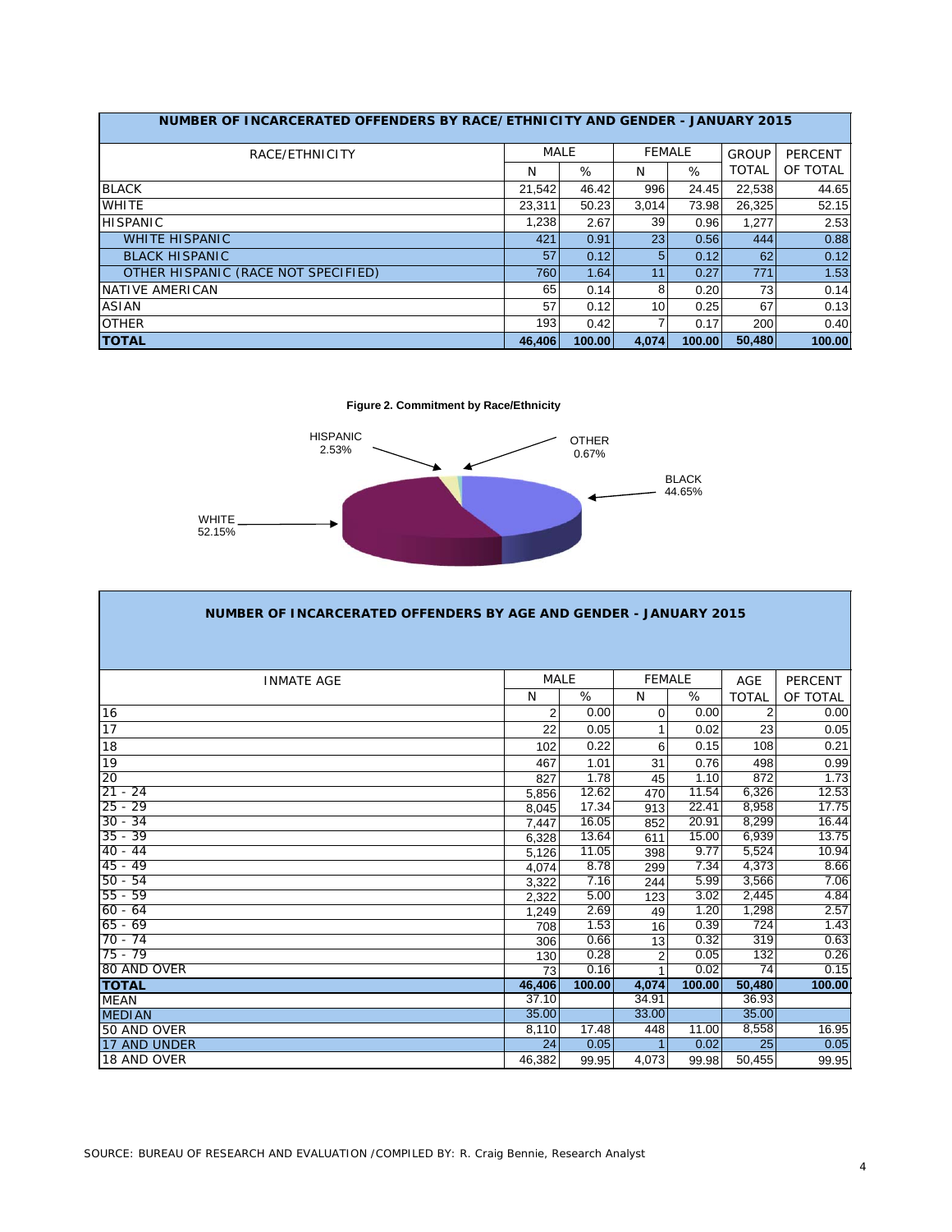| NUMBER OF INCARCERATED OFFENDERS BY RACE/ETHNICITY AND GENDER - JANUARY 2015 |        |             |                 |        |              |                |
|------------------------------------------------------------------------------|--------|-------------|-----------------|--------|--------------|----------------|
| RACE/ETHNICITY                                                               |        | <b>MALE</b> | <b>FEMALE</b>   |        | <b>GROUP</b> | <b>PERCENT</b> |
|                                                                              | N      | %           | N               | %      | <b>TOTAL</b> | OF TOTAL       |
| <b>BLACK</b>                                                                 | 21,542 | 46.42       | 996             | 24.45  | 22,538       | 44.65          |
| <b>WHITE</b>                                                                 | 23.311 | 50.23       | 3.014           | 73.98  | 26.325       | 52.15          |
| <b>HISPANIC</b>                                                              | 1,238  | 2.67        | 39              | 0.96   | 1,277        | 2.53           |
| <b>WHITE HISPANIC</b>                                                        | 421    | 0.91        | 23 <sub>l</sub> | 0.56   | 444          | 0.88           |
| <b>BLACK HISPANIC</b>                                                        | 57     | 0.12        | 5               | 0.12   | 62           | 0.12           |
| OTHER HISPANIC (RACE NOT SPECIFIED)                                          | 760    | 1.64        | 11              | 0.27   | 771          | 1.53           |
| NATIVE AMERICAN                                                              | 65     | 0.14        | 8               | 0.20   | 73           | 0.14           |
| <b>ASIAN</b>                                                                 | 57     | 0.12        | 10              | 0.25   | 67           | 0.13           |
| <b>OTHER</b>                                                                 | 193    | 0.42        |                 | 0.17   | 200          | 0.40           |
| <b>TOTAL</b>                                                                 | 46.406 | 100.00      | 4.074           | 100.00 | 50.480       | 100.00         |

**Figure 2. Commitment by Race/Ethnicity**



| NUMBER OF INCARCERATED OFFENDERS BY AGE AND GENDER - JANUARY 2015 |                |        |                |        |                |                    |
|-------------------------------------------------------------------|----------------|--------|----------------|--------|----------------|--------------------|
|                                                                   |                |        |                |        |                |                    |
| <b>INMATE AGE</b>                                                 | <b>MALE</b>    |        | <b>FEMALE</b>  |        | <b>AGE</b>     | <b>PERCENT</b>     |
|                                                                   | N              | %      | N              | %      | <b>TOTAL</b>   | OF TOTAL           |
| 16                                                                | $\overline{2}$ | 0.00   | $\Omega$       | 0.00   | $\overline{2}$ | 0.00               |
| 17                                                                | 22             | 0.05   |                | 0.02   | 23             | 0.05               |
| 18                                                                | 102            | 0.22   | 6              | 0.15   | 108            | 0.21               |
| 19                                                                | 467            | 1.01   | 31             | 0.76   | 498            | 0.99               |
| 20                                                                | 827            | 1.78   | 45             | 1.10   | 872            | 1.73               |
| $21 - 24$                                                         | 5,856          | 12.62  | 470            | 11.54  | 6,326          | $\overline{12.53}$ |
| $25 - 29$                                                         | 8.045          | 17.34  | 913            | 22.41  | 8,958          | 17.75              |
| $30 - 34$                                                         | 7.447          | 16.05  | 852            | 20.91  | 8,299          | 16.44              |
| $35 - 39$                                                         | 6,328          | 13.64  | 611            | 15.00  | 6,939          | 13.75              |
| $40 - 44$                                                         | 5.126          | 11.05  | 398            | 9.77   | 5,524          | 10.94              |
| $45 - 49$                                                         | 4.074          | 8.78   | 299            | 7.34   | 4,373          | 8.66               |
| $50 - 54$                                                         | 3.322          | 7.16   | 244            | 5.99   | 3,566          | 7.06               |
| $55 - 59$                                                         | 2,322          | 5.00   | 123            | 3.02   | 2,445          | 4.84               |
| $60 - 64$                                                         | 1.249          | 2.69   | 49             | 1.20   | 1,298          | 2.57               |
| $65 - 69$                                                         | 708            | 1.53   | 16             | 0.39   | 724            | 1.43               |
| $70 - 74$                                                         | 306            | 0.66   | 13             | 0.32   | 319            | 0.63               |
| $75 - 79$                                                         | 130            | 0.28   | $\overline{2}$ | 0.05   | 132            | 0.26               |
| 80 AND OVER                                                       | 73             | 0.16   |                | 0.02   | 74             | 0.15               |
| <b>TOTAL</b>                                                      | 46,406         | 100.00 | 4,074          | 100.00 | 50,480         | 100.00             |
| <b>MEAN</b>                                                       | 37.10          |        | 34.91          |        | 36.93          |                    |
| <b>MEDIAN</b>                                                     | 35.00          |        | 33.00          |        | 35.00          |                    |
| 50 AND OVER                                                       | 8,110          | 17.48  | 448            | 11.00  | 8,558          | 16.95              |
| 17 AND UNDER                                                      | 24             | 0.05   |                | 0.02   | 25             | 0.05               |
| 18 AND OVER                                                       | 46,382         | 99.95  | 4,073          | 99.98  | 50,455         | 99.95              |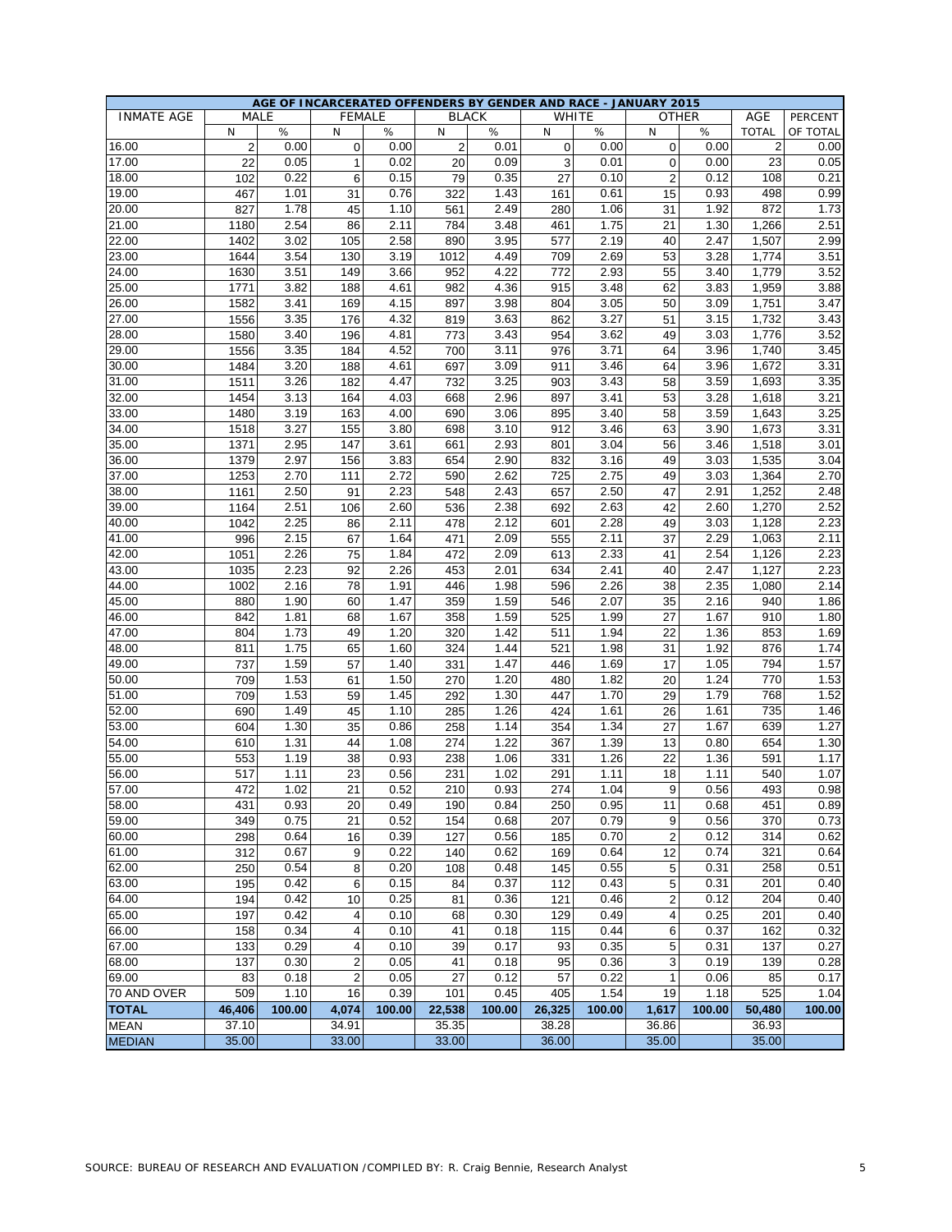|                   |                |             |                |              |                |              | AGE OF INCARCERATED OFFENDERS BY GENDER AND RACE - JANUARY 2015 |        |                         |              |                |          |
|-------------------|----------------|-------------|----------------|--------------|----------------|--------------|-----------------------------------------------------------------|--------|-------------------------|--------------|----------------|----------|
| <b>INMATE AGE</b> |                | <b>MALE</b> | <b>FEMALE</b>  |              |                | <b>BLACK</b> | <b>WHITE</b>                                                    |        |                         | <b>OTHER</b> | AGE            | PERCENT  |
|                   | N              | ℅           | N              | $\%$         | N              | %            | N                                                               | %      | N                       | %            | <b>TOTAL</b>   | OF TOTAL |
| 16.00             | $\overline{2}$ | 0.00        | 0              | 0.00         | $\overline{2}$ | 0.01         | $\mathbf 0$                                                     | 0.00   | $\mathbf 0$             | 0.00         | $\overline{2}$ | 0.00     |
| 17.00             | 22             | 0.05        | $\mathbf{1}$   | 0.02         | 20             | 0.09         | 3                                                               | 0.01   | 0                       | 0.00         | 23             | 0.05     |
| 18.00             | 102            | 0.22        | 6              | 0.15         | 79             | 0.35         | 27                                                              | 0.10   | $\overline{2}$          | 0.12         | 108            | 0.21     |
| 19.00             | 467            | 1.01        | 31             | 0.76         | 322            | 1.43         | 161                                                             | 0.61   | 15                      | 0.93         | 498            | 0.99     |
| 20.00             | 827            | 1.78        | 45             | 1.10         | 561            | 2.49         | 280                                                             | 1.06   | 31                      | 1.92         | 872            | 1.73     |
| 21.00             | 1180           | 2.54        | 86             | 2.11         | 784            | 3.48         | 461                                                             | 1.75   | 21                      | 1.30         | 1,266          | 2.51     |
| 22.00             | 1402           | 3.02        | 105            | 2.58         | 890            | 3.95         | 577                                                             | 2.19   | 40                      | 2.47         | 1,507          | 2.99     |
| 23.00             | 1644           | 3.54        | 130            | 3.19         | 1012           | 4.49         | 709                                                             | 2.69   | 53                      | 3.28         | 1,774          | 3.51     |
| 24.00             | 1630           | 3.51        | 149            | 3.66         | 952            | 4.22         | 772                                                             | 2.93   | 55                      | 3.40         | 1,779          | 3.52     |
| 25.00             | 1771           | 3.82        | 188            | 4.61         | 982            | 4.36         | 915                                                             | 3.48   | 62                      | 3.83         | 1,959          | 3.88     |
| 26.00             | 1582           | 3.41        | 169            | 4.15         | 897            | 3.98         | 804                                                             | 3.05   | 50                      | 3.09         | 1,751          | 3.47     |
| 27.00             | 1556           | 3.35        | 176            | 4.32         | 819            | 3.63         | 862                                                             | 3.27   | 51                      | 3.15         | 1,732          | 3.43     |
| 28.00             | 1580           | 3.40        | 196            | 4.81         | 773            | 3.43         | 954                                                             | 3.62   | 49                      | 3.03         | 1,776          | 3.52     |
| 29.00             | 1556           | 3.35        | 184            | 4.52         | 700            | 3.11         | 976                                                             | 3.71   | 64                      | 3.96         | 1,740          | 3.45     |
| 30.00             | 1484           | 3.20        | 188            | 4.61         | 697            | 3.09         | 911                                                             | 3.46   | 64                      | 3.96         | 1,672          | 3.31     |
| 31.00             | 1511           | 3.26        | 182            | 4.47         | 732            | 3.25         | 903                                                             | 3.43   | 58                      | 3.59         | 1,693          | 3.35     |
| 32.00             | 1454           | 3.13        | 164            | 4.03         | 668            | 2.96         | 897                                                             | 3.41   | 53                      | 3.28         | 1,618          | 3.21     |
| 33.00             | 1480           | 3.19        | 163            | 4.00         | 690            | 3.06         | 895                                                             | 3.40   | 58                      | 3.59         | 1,643          | 3.25     |
| 34.00             | 1518           | 3.27        | 155            | 3.80         | 698            | 3.10         | 912                                                             | 3.46   | 63                      | 3.90         | 1,673          | 3.31     |
| 35.00             | 1371           | 2.95        | 147            | 3.61         | 661            | 2.93         | 801                                                             | 3.04   | 56                      | 3.46         | 1,518          | 3.01     |
| 36.00             | 1379           | 2.97        | 156            | 3.83         | 654            | 2.90         | 832                                                             | 3.16   | 49                      | 3.03         | 1,535          | 3.04     |
| 37.00             | 1253           | 2.70        | 111            | 2.72         | 590            | 2.62         | 725                                                             | 2.75   | 49                      | 3.03         | 1,364          | 2.70     |
| 38.00             | 1161           | 2.50        | 91             | 2.23         | 548            | 2.43         | 657                                                             | 2.50   | 47                      | 2.91         | 1,252          | 2.48     |
| 39.00             | 1164           | 2.51        | 106            | 2.60         | 536            | 2.38         | 692                                                             | 2.63   | 42                      | 2.60         | 1,270          | 2.52     |
| 40.00             | 1042           | 2.25        | 86             | 2.11         | 478            | 2.12         | 601                                                             | 2.28   | 49                      | 3.03         | 1,128          | 2.23     |
| 41.00             | 996            | 2.15        | 67             | 1.64         | 471            | 2.09         | 555                                                             | 2.11   | 37                      | 2.29         | 1,063          | 2.11     |
| 42.00             | 1051           | 2.26        | 75             | 1.84         | 472            | 2.09         | 613                                                             | 2.33   | 41                      | 2.54         | 1,126          | 2.23     |
| 43.00             | 1035           | 2.23        | 92             | 2.26         | 453            | 2.01         | 634                                                             | 2.41   | 40                      | 2.47         | 1,127          | 2.23     |
| 44.00             | 1002           | 2.16        | 78             | 1.91         | 446            | 1.98         | 596                                                             | 2.26   | 38                      | 2.35         | 1,080          | 2.14     |
| 45.00             | 880            | 1.90        | 60             | 1.47         | 359            | 1.59         | 546                                                             | 2.07   | 35                      | 2.16         | 940            | 1.86     |
| 46.00             | 842            | 1.81        | 68             | 1.67         | 358            | 1.59         | 525                                                             | 1.99   | 27                      | 1.67         | 910            | 1.80     |
| 47.00             | 804            | 1.73        | 49             | 1.20         | 320            | 1.42         | 511                                                             | 1.94   | 22                      | 1.36         | 853            | 1.69     |
| 48.00             | 811            | 1.75        | 65             | 1.60         | 324            | 1.44         | 521                                                             | 1.98   | 31                      | 1.92         | 876            | 1.74     |
| 49.00             | 737            | 1.59        | 57             | 1.40         | 331            | 1.47         | 446                                                             | 1.69   | 17                      | 1.05         | 794            | 1.57     |
| 50.00             | 709            | 1.53        | 61             | 1.50         | 270            | 1.20         | 480                                                             | 1.82   | 20                      | 1.24         | 770            | 1.53     |
| 51.00             | 709            | 1.53        | 59             | 1.45         | 292            | 1.30         | 447                                                             | 1.70   | 29                      | 1.79         | 768            | 1.52     |
| 52.00             | 690            | 1.49        | 45             | 1.10         | 285            | 1.26         | 424                                                             | 1.61   | 26                      | 1.61         | 735            | 1.46     |
| 53.00             | 604            | 1.30        | 35             | 0.86         | 258            | 1.14         | 354                                                             | 1.34   | 27                      | 1.67         | 639            | 1.27     |
| 54.00             | 610            | 1.31        | 44             | 1.08         | 274            | 1.22         | 367                                                             | 1.39   | 13                      | 0.80         | 654            | 1.30     |
|                   |                | 1.19        |                |              |                |              |                                                                 | 1.26   |                         |              | 591            | 1.17     |
| 55.00             | 553<br>517     | 1.11        | 38<br>23       | 0.93<br>0.56 | 238<br>231     | 1.06<br>1.02 | 331<br>291                                                      | 1.11   | 22<br>18                | 1.36<br>1.11 | 540            | 1.07     |
| 56.00<br>57.00    | 472            | 1.02        | 21             | 0.52         | 210            | 0.93         | 274                                                             | 1.04   | 9                       |              | 493            | 0.98     |
| 58.00             | 431            | 0.93        | 20             | 0.49         | 190            | 0.84         | 250                                                             | 0.95   | 11                      | 0.56<br>0.68 | 451            | 0.89     |
| 59.00             | 349            | 0.75        | 21             | 0.52         | 154            | 0.68         | 207                                                             | 0.79   | 9                       | 0.56         | 370            | 0.73     |
| 60.00             |                | 0.64        |                | 0.39         |                |              |                                                                 | 0.70   |                         | 0.12         | 314            | 0.62     |
| 61.00             | 298            | 0.67        | 16             | 0.22         | 127            | 0.56         | 185                                                             | 0.64   | $\overline{2}$          | 0.74         | 321            | 0.64     |
|                   | 312            |             | 9              |              | 140            | 0.62         | 169                                                             |        | 12                      |              |                |          |
| 62.00             | 250            | 0.54        | 8              | 0.20         | 108            | 0.48         | 145                                                             | 0.55   | 5                       | 0.31         | 258            | 0.51     |
| 63.00             | 195            | 0.42        | 6              | 0.15         | 84             | 0.37         | 112                                                             | 0.43   | 5                       | 0.31         | 201            | 0.40     |
| 64.00             | 194            | 0.42        | 10             | 0.25         | 81             | 0.36         | 121                                                             | 0.46   | $\overline{\mathbf{c}}$ | 0.12         | 204            | 0.40     |
| 65.00             | 197            | 0.42        | 4              | 0.10         | 68             | 0.30         | 129                                                             | 0.49   | 4                       | 0.25         | 201            | 0.40     |
| 66.00             | 158            | 0.34        | 4              | 0.10         | 41             | 0.18         | 115                                                             | 0.44   | 6                       | 0.37         | 162            | 0.32     |
| 67.00             | 133            | 0.29        | 4              | 0.10         | 39             | 0.17         | 93                                                              | 0.35   | 5                       | 0.31         | 137            | 0.27     |
| 68.00             | 137            | 0.30        | $\overline{c}$ | 0.05         | 41             | 0.18         | 95                                                              | 0.36   | 3                       | 0.19         | 139            | 0.28     |
| 69.00             | 83             | 0.18        | $\overline{2}$ | 0.05         | 27             | 0.12         | 57                                                              | 0.22   | $\mathbf{1}$            | 0.06         | 85             | 0.17     |
| 70 AND OVER       | 509            | 1.10        | 16             | 0.39         | 101            | 0.45         | 405                                                             | 1.54   | 19                      | 1.18         | 525            | 1.04     |
| <b>TOTAL</b>      | 46,406         | 100.00      | 4,074          | 100.00       | 22,538         | 100.00       | 26,325                                                          | 100.00 | 1,617                   | 100.00       | 50,480         | 100.00   |
| <b>MEAN</b>       | 37.10          |             | 34.91          |              | 35.35          |              | 38.28                                                           |        | 36.86                   |              | 36.93          |          |
| <b>MEDIAN</b>     | 35.00          |             | 33.00          |              | 33.00          |              | 36.00                                                           |        | 35.00                   |              | 35.00          |          |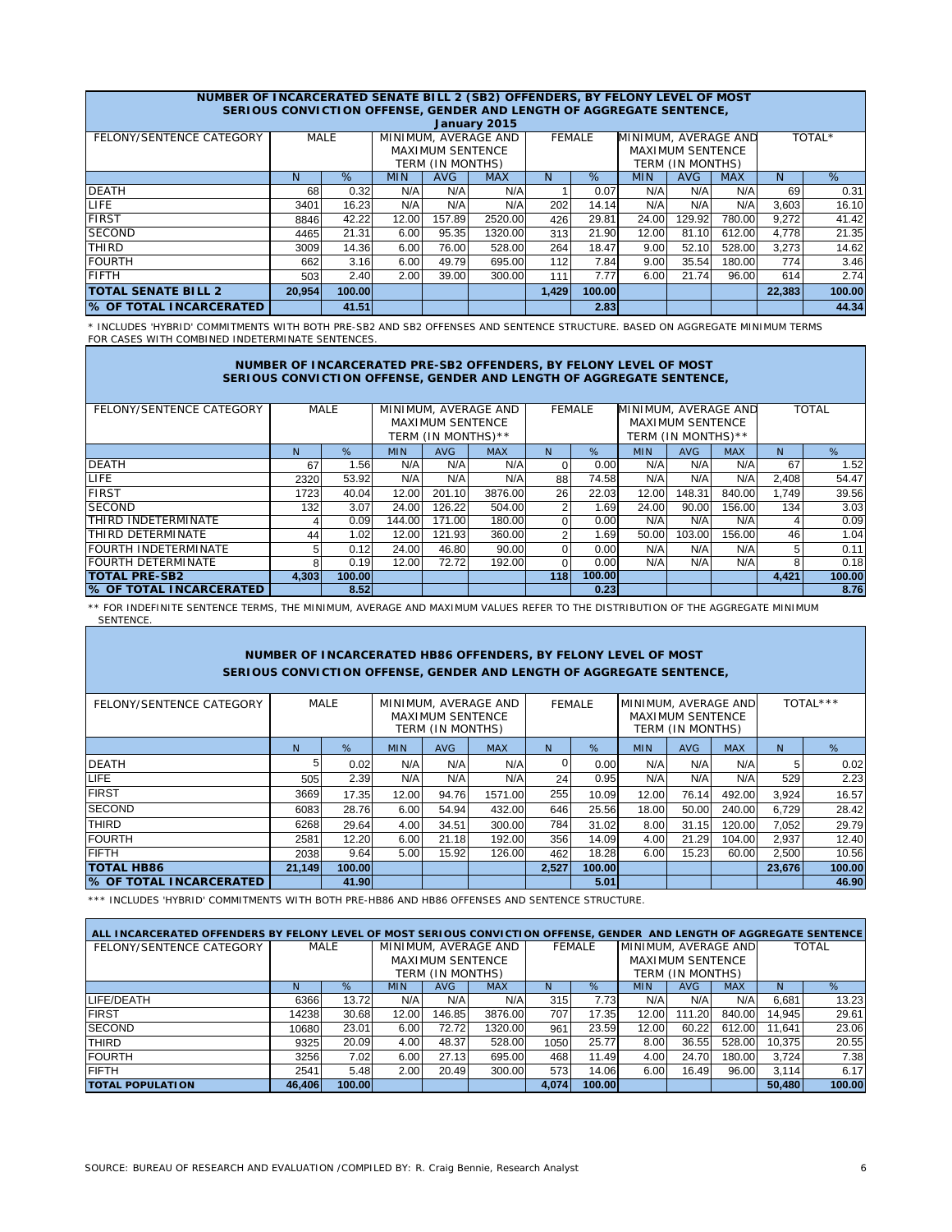#### FELONY/SENTENCE CATEGORY | MALE | MINIMUM AVERAGE AND | FEMALE N % MIN AVG MAX N % MIN AVG MAX N % DEATH 68 0.32 N/A N/A N/A 1 0.07 N/A N/A N/A 69 0.31 LIFE 3401 16.23 N/A N/A N/A 202 14.14 N/A N/A N/A 3,603 16.10 FIRST 8846 42.22 12.00 157.89 2520.00 426 29.81 24.00 129.92 780.00 9,272 41.42 SECOND 4465 21.31 6.00 95.35 1320.00 313 21.90 12.00 81.10 612.00 4,778 21.35 THIRD 3009 14.36 6.00 76.00 528.00 264 18.47 9.00 52.10 528.00 3,273 14.62 FOURTH 662 3.16 6.00 49.79 695.00 112 7.84 9.00 35.54 180.00 774 3.46 FIFTH 503 2.40 2.00 39.00 300.00 111 7.77 6.00 21.74 96.00 614 2.74 **20,954 100.00 1,429 100.00 22,383 100.00 1** 41.51 **41.51 1 2.83 2.83 44.34 MALE** TERM (IN MONTHS) TERM (IN MONTHS) **% OF TOTAL INCARCERATED TOTAL SENATE BILL 2 NUMBER OF INCARCERATED SENATE BILL 2 (SB2) OFFENDERS, BY FELONY LEVEL OF MOST SERIOUS CONVICTION OFFENSE, GENDER AND LENGTH OF AGGREGATE SENTENCE,** TOTAL\* MAXIMUM SENTENCE MINIMUM, AVERAGE AND MAXIMUM SENTENCE MINIMUM, AVERAGE AND **January 2015**

\* INCLUDES 'HYBRID' COMMITMENTS WITH BOTH PRE-SB2 AND SB2 OFFENSES AND SENTENCE STRUCTURE. BASED ON AGGREGATE MINIMUM TERMS FOR CASES WITH COMBINED INDETERMINATE SENTENCES

### **NUMBER OF INCARCERATED PRE-SB2 OFFENDERS, BY FELONY LEVEL OF MOST SERIOUS CONVICTION OFFENSE, GENDER AND LENGTH OF AGGREGATE SENTENCE,**

| FELONY/SENTENCE CATEGORY       | MALE  |        |            |                         | MINIMUM, AVERAGE AND |     | <b>FEMALE</b> | MINIMUM, AVERAGE AND |                         |            | <b>TOTAL</b>   |        |  |
|--------------------------------|-------|--------|------------|-------------------------|----------------------|-----|---------------|----------------------|-------------------------|------------|----------------|--------|--|
|                                |       |        |            | <b>MAXIMUM SENTENCE</b> |                      |     |               |                      | <b>MAXIMUM SENTENCE</b> |            |                |        |  |
|                                |       |        |            | TERM (IN MONTHS)**      |                      |     |               |                      | TERM (IN MONTHS)**      |            |                |        |  |
|                                | N     | %      | <b>MIN</b> | AVG                     | <b>MAX</b>           | N   | %             | <b>MIN</b>           | <b>AVG</b>              | <b>MAX</b> | N <sub>1</sub> | %      |  |
| <b>DEATH</b>                   | 67    | 1.56   | N/A        | N/A                     | N/A                  |     | 0.00          | N/A                  | N/A                     | N/A        | 67             | 1.52   |  |
| LIFE.                          | 2320  | 53.92  | N/A        | N/A                     | N/A                  | 88  | 74.58         | N/A                  | N/A                     | N/A        | 2,408          | 54.47  |  |
| <b>FIRST</b>                   | 1723  | 40.04  | 12.00      | 201.10                  | 3876.00              | 26  | 22.03         | 12.00                | 148.31                  | 840.00     | 1.749          | 39.56  |  |
| <b>SECOND</b>                  | 132   | 3.07   | 24.00      | 126.22                  | 504.00               |     | 1.69          | 24.00                | 90.00                   | 156.00     | 134            | 3.03   |  |
| <b>THIRD INDETERMINATE</b>     |       | 0.09   | 144.00     | 171.00                  | 180.00               |     | 0.00          | N/A                  | N/A                     | N/A        | 4              | 0.09   |  |
| <b>THIRD DETERMINATE</b>       | 44    | 1.02   | 12.00      | 121.93                  | 360.00               |     | 1.69          | 50.00                | 103.00                  | 156.00     | 46             | 1.04   |  |
| <b>FOURTH INDETERMINATE</b>    | 5     | 0.12   | 24.00      | 46.80                   | 90.00                |     | 0.00          | N/A                  | N/A                     | N/A        | 5              | 0.11   |  |
| <b>FOURTH DETERMINATE</b>      | 8     | 0.19   | 12.00      | 72.72                   | 192.00               |     | 0.00          | N/A                  | N/A                     | N/A        | 8              | 0.18   |  |
| <b>TOTAL PRE-SB2</b>           | 4,303 | 100.00 |            |                         |                      | 118 | 100.00        |                      |                         |            | 4,421          | 100.00 |  |
| <b>8 OF TOTAL INCARCERATED</b> |       | 8.52   |            |                         |                      |     | 0.23          |                      |                         |            |                | 8.76   |  |

\*\* FOR INDEFINITE SENTENCE TERMS, THE MINIMUM, AVERAGE AND MAXIMUM VALUES REFER TO THE DISTRIBUTION OF THE AGGREGATE MINIMUM **SENTENCE** 

## **NUMBER OF INCARCERATED HB86 OFFENDERS, BY FELONY LEVEL OF MOST SERIOUS CONVICTION OFFENSE, GENDER AND LENGTH OF AGGREGATE SENTENCE,**

| FELONY/SENTENCE CATEGORY |        | MALE   |            | <b>MAXIMUM SENTENCE</b><br>TERM (IN MONTHS) | MINIMUM, AVERAGE AND |       | FEMALE | MINIMUM, AVERAGE AND | <b>MAXIMUM SENTENCE</b><br>TERM (IN MONTHS) |            |        | TOTAL*** |
|--------------------------|--------|--------|------------|---------------------------------------------|----------------------|-------|--------|----------------------|---------------------------------------------|------------|--------|----------|
|                          | N.     | %      | <b>MIN</b> | <b>AVG</b>                                  | <b>MAX</b>           | N     | %      | <b>MIN</b>           | <b>AVG</b>                                  | <b>MAX</b> | N      | %        |
| <b>DEATH</b>             | 5      | 0.02   | N/A        | N/A                                         | N/A                  | 0     | 0.00   | N/A                  | N/A                                         | N/A        | 5      | 0.02     |
| <b>LIFE</b>              | 505    | 2.39   | N/A        | N/A                                         | N/A                  | 24    | 0.95   | N/A                  | N/A                                         | N/A        | 529    | 2.23     |
| <b>FIRST</b>             | 3669   | 17.35  | 12.00      | 94.76                                       | 1571.00              | 255   | 10.09  | 12.00                | 76.14                                       | 492.00     | 3,924  | 16.57    |
| <b>SECOND</b>            | 6083   | 28.76  | 6.00       | 54.94                                       | 432.00               | 646   | 25.56  | 18.00                | 50.00                                       | 240.00     | 6.729  | 28.42    |
| <b>THIRD</b>             | 6268   | 29.64  | 4.00       | 34.51                                       | 300.00               | 784   | 31.02  | 8.00                 | 31.15                                       | 120.00     | 7.052  | 29.79    |
| <b>FOURTH</b>            | 2581   | 12.20  | 6.00       | 21.18                                       | 192.00               | 356   | 14.09  | 4.00                 | 21.29                                       | 104.00     | 2,937  | 12.40    |
| <b>FIFTH</b>             | 2038   | 9.64   | 5.00       | 15.92                                       | 126.00               | 462   | 18.28  | 6.00                 | 15.23                                       | 60.00      | 2,500  | 10.56    |
| <b>TOTAL HB86</b>        | 21.149 | 100.00 |            |                                             |                      | 2,527 | 100.00 |                      |                                             |            | 23.676 | 100.00   |
| % OF TOTAL INCARCERATED  |        | 41.90  |            |                                             |                      |       | 5.01   |                      |                                             |            |        | 46.90    |

\*\*\* INCLUDES 'HYBRID' COMMITMENTS WITH BOTH PRE-HB86 AND HB86 OFFENSES AND SENTENCE STRUCTURE.

| ALL INCARCERATED OFFENDERS BY FELONY LEVEL OF MOST SERIOUS CONVICTION OFFENSE, GENDER AND LENGTH OF AGGREGATE SENTENCE |        |        |                  |                         |                      |       |               |                      |                  |            |        |              |  |
|------------------------------------------------------------------------------------------------------------------------|--------|--------|------------------|-------------------------|----------------------|-------|---------------|----------------------|------------------|------------|--------|--------------|--|
| FELONY/SENTENCE CATEGORY                                                                                               |        | MALE   |                  |                         | MINIMUM, AVERAGE AND |       | <b>FEMALE</b> | MINIMUM, AVERAGE AND |                  |            |        | <b>TOTAL</b> |  |
|                                                                                                                        |        |        |                  | <b>MAXIMUM SENTENCE</b> |                      |       |               |                      | MAXIMUM SENTENCE |            |        |              |  |
|                                                                                                                        |        |        | TERM (IN MONTHS) |                         |                      |       |               |                      | TERM (IN MONTHS) |            |        |              |  |
|                                                                                                                        | N      | %      | <b>MIN</b>       | AVG.                    | <b>MAX</b>           | N     | $\%$          | <b>MIN</b>           | AVG              | <b>MAX</b> | N      | %            |  |
| LIFE/DEATH                                                                                                             | 6366   | 13.72  | N/A              | N/A                     | N/A                  | 315   | 7.73          | N/A                  | N/A              | N/A        | 6.681  | 13.23        |  |
| <b>FIRST</b>                                                                                                           | 14238  | 30.68  | 12.00            | 146.85                  | 3876.00              | 707   | 17.35         | 12.00                | 111.20           | 840.00     | 14.945 | 29.61        |  |
| <b>SECOND</b>                                                                                                          | 10680  | 23.01  | 6.00             | 72.72                   | 1320.00              | 961   | 23.59         | 12.00                | 60.22            | 612.00     | 11.641 | 23.06        |  |
| <b>THIRD</b>                                                                                                           | 9325   | 20.09  | 4.00             | 48.37                   | 528.00               | 1050  | 25.77         | 8.00                 | 36.55            | 528.00     | 10.375 | 20.55        |  |
| <b>FOURTH</b>                                                                                                          | 3256   | 7.02   | 6.00             | 27.13                   | 695.00               | 468   | 11.49         | 4.00                 | 24.70            | 180.00     | 3.724  | 7.38         |  |
| <b>FIFTH</b>                                                                                                           | 2541   | 5.48   | 2.00             | 20.49                   | 300.00               | 573   | 14.06         | 6.00                 | 16.49            | 96.00      | 3.114  | 6.17         |  |
| <b>TOTAL POPULATION</b>                                                                                                | 46.406 | 100.00 |                  |                         |                      | 4.074 | 100.00        |                      |                  |            | 50.480 | 100.00       |  |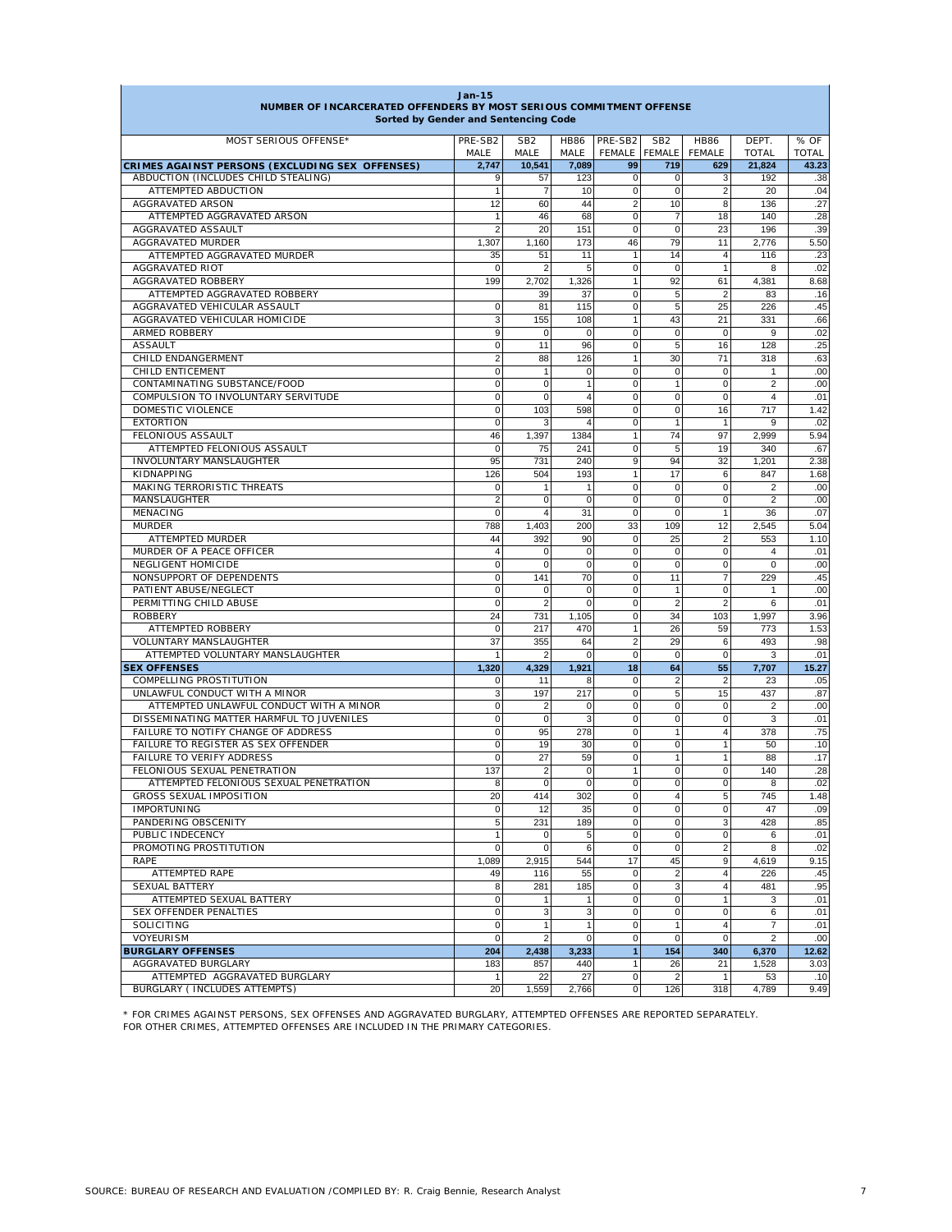| - - - - - -<br>NUMBER OF INCARCERATED OFFENDERS BY MOST SERIOUS COMMITMENT OFFENSE<br>Sorted by Gender and Sentencing Code |                         |                         |                     |                          |                      |                              |                       |                      |
|----------------------------------------------------------------------------------------------------------------------------|-------------------------|-------------------------|---------------------|--------------------------|----------------------|------------------------------|-----------------------|----------------------|
| MOST SERIOUS OFFENSE*                                                                                                      | PRE-SB2<br>MALE         | SB <sub>2</sub><br>MALE | <b>HB86</b><br>MALE | PRE-SB2<br>FEMALE FEMALE | SB <sub>2</sub>      | <b>HB86</b><br><b>FEMALE</b> | DEPT.<br><b>TOTAL</b> | % OF<br><b>TOTAL</b> |
| CRIMES AGAINST PERSONS (EXCLUDING SEX OFFENSES)                                                                            | 2,747                   | 10,541                  | 7,089               | 99                       | 719                  | 629                          | 21,824                | 43.23                |
| ABDUCTION (INCLUDES CHILD STEALING)                                                                                        | 9                       | 57                      | 123                 | $\mathbf 0$              | $\Omega$             | 3                            | 192                   | .38                  |
| ATTEMPTED ABDUCTION                                                                                                        | $\overline{1}$          | $\overline{7}$          | 10                  | $\mathsf{O}\xspace$      | $\mathbf 0$          | $\overline{2}$               | 20                    | .04                  |
| <b>AGGRAVATED ARSON</b>                                                                                                    | 12                      | 60                      | 44                  | $\overline{2}$           | 10                   | 8                            | 136                   | .27                  |
| ATTEMPTED AGGRAVATED ARSON                                                                                                 | 1                       | 46                      | 68                  | 0                        | $\overline{7}$       | 18                           | 140                   | .28                  |
| AGGRAVATED ASSAULT<br>AGGRAVATED MURDER                                                                                    | $\overline{2}$<br>1,307 | 20<br>1,160             | 151<br>173          | $\mathbf 0$<br>46        | $\mathbf 0$<br>79    | 23<br>11                     | 196<br>2,776          | .39<br>5.50          |
| ATTEMPTED AGGRAVATED MURDER                                                                                                | 35                      | 51                      | 11                  | $\mathbf{1}$             | 14                   | $\overline{4}$               | 116                   | .23                  |
| AGGRAVATED RIOT                                                                                                            | $\Omega$                | 2                       | 5                   | 0                        | $\mathbf 0$          | $\mathbf{1}$                 | 8                     | .02                  |
| AGGRAVATED ROBBERY                                                                                                         | 199                     | 2,702                   | 1,326               | $\mathbf{1}$             | 92                   | 61                           | 4,381                 | 8.68                 |
| ATTEMPTED AGGRAVATED ROBBERY                                                                                               |                         | 39                      | 37                  | $\mathbf 0$              | 5                    | $\overline{2}$               | 83                    | .16                  |
| AGGRAVATED VEHICULAR ASSAULT                                                                                               | $\mathbf 0$             | 81                      | 115                 | 0                        | 5                    | 25                           | 226                   | .45                  |
| AGGRAVATED VEHICULAR HOMICIDE                                                                                              | 3                       | 155                     | 108                 | $\mathbf{1}$             | 43                   | 21                           | 331                   | .66                  |
| ARMED ROBBERY                                                                                                              | 9                       | $\mathbf 0$             | 0                   | 0                        | $\mathbf 0$          | $\mathbf 0$                  | 9                     | .02                  |
| <b>ASSAULT</b>                                                                                                             | $\mathbf 0$             | 11                      | 96                  | 0                        | 5                    | 16                           | 128                   | .25                  |
| CHILD ENDANGERMENT                                                                                                         | $\overline{2}$          | 88                      | 126                 | 1                        | 30                   | 71                           | 318                   | .63                  |
| CHILD ENTICEMENT                                                                                                           | $\mathbf 0$             | 1                       | 0                   | 0                        | $\mathbf 0$          | $\mathbf 0$                  | 1                     | .00                  |
| CONTAMINATING SUBSTANCE/FOOD                                                                                               | $\mathbf 0$             | 0                       | $\mathbf{1}$        | 0                        | 1                    | 0                            | $\overline{2}$        | .00                  |
| COMPULSION TO INVOLUNTARY SERVITUDE                                                                                        | $\mathbf 0$             | $\mathbf 0$             | $\overline{4}$      | $\mathbf 0$              | $\mathbf 0$          | $\mathbf 0$                  | $\overline{4}$        | .01                  |
| DOMESTIC VIOLENCE                                                                                                          | $\mathbf 0$             | 103                     | 598                 | 0                        | $\pmb{0}$            | 16                           | 717                   | 1.42                 |
| <b>EXTORTION</b>                                                                                                           | $\mathbf 0$             | 3                       | 4                   | 0                        | $\mathbf{1}$         | $\mathbf{1}$                 | 9                     | .02                  |
| FELONIOUS ASSAULT                                                                                                          | 46                      | 1,397                   | 1384                | $\mathbf{1}$             | 74                   | 97                           | 2,999                 | 5.94                 |
| ATTEMPTED FELONIOUS ASSAULT<br>INVOLUNTARY MANSLAUGHTER                                                                    | $\mathbf 0$<br>95       | 75                      | 241                 | $\mathbf 0$<br>9         | 5<br>94              | 19                           | 340                   | .67                  |
| KIDNAPPING                                                                                                                 | 126                     | 731<br>504              | 240<br>193          | $\mathbf{1}$             | 17                   | 32<br>6                      | 1,201<br>847          | 2.38<br>1.68         |
| MAKING TERRORISTIC THREATS                                                                                                 | $\mathbf 0$             | $\mathbf{1}$            | 1                   | 0                        | $\mathbf 0$          | 0                            | $\overline{2}$        | .00                  |
| MANSLAUGHTER                                                                                                               | $\overline{2}$          | $\mathbf 0$             | $\mathbf 0$         | $\mathbf 0$              | $\mathbf 0$          | $\mathbf 0$                  | $\overline{2}$        | .00                  |
| MENACING                                                                                                                   | $\Omega$                | 4                       | 31                  | $\mathbf 0$              | $\Omega$             | $\mathbf{1}$                 | 36                    | .07                  |
| <b>MURDER</b>                                                                                                              | 788                     | 1,403                   | 200                 | 33                       | 109                  | 12                           | 2,545                 | 5.04                 |
| ATTEMPTED MURDER                                                                                                           | 44                      | 392                     | 90                  | $\mathbf 0$              | 25                   | $\overline{2}$               | 553                   | 1.10                 |
| MURDER OF A PEACE OFFICER                                                                                                  | $\Delta$                | 0                       | $\mathbf 0$         | $\mathbf 0$              | $\mathbf 0$          | $\Omega$                     | $\overline{4}$        | .01                  |
| NEGLIGENT HOMICIDE                                                                                                         | $\mathbf 0$             | $\mathbf 0$             | $\mathbf 0$         | $\mathbf 0$              | $\mathbf 0$          | 0                            | $\pmb{0}$             | .00                  |
| NONSUPPORT OF DEPENDENTS                                                                                                   | $\mathbf 0$             | 141                     | 70                  | 0                        | 11                   | $\overline{7}$               | 229                   | .45                  |
| PATIENT ABUSE/NEGLECT                                                                                                      | $\mathbf 0$             | 0                       | 0                   | 0                        | $\overline{1}$       | 0                            | $\mathbf{1}$          | .00                  |
| PERMITTING CHILD ABUSE                                                                                                     | $\mathbf 0$             | $\overline{2}$          | 0                   | 0                        | $\overline{2}$       | $\overline{2}$               | 6                     | .01                  |
| <b>ROBBERY</b>                                                                                                             | 24                      | 731                     | 1,105               | 0                        | 34                   | 103                          | 1,997                 | 3.96                 |
| ATTEMPTED ROBBERY                                                                                                          | $\mathbf 0$             | 217                     | 470                 | $\mathbf{1}$             | 26                   | 59                           | 773                   | 1.53                 |
| <b>VOLUNTARY MANSLAUGHTER</b>                                                                                              | 37                      | 355                     | 64                  | $\overline{c}$           | 29                   | 6                            | 493                   | .98                  |
| ATTEMPTED VOLUNTARY MANSLAUGHTER                                                                                           | $\overline{1}$          | $\overline{2}$          | $\mathbf 0$         | 0                        | $\mathbf 0$          | 0                            | 3                     | .01                  |
| <b>SEX OFFENSES</b><br>COMPELLING PROSTITUTION                                                                             | 1,320<br>0              | 4,329<br>11             | 1,921<br>8          | 18<br>0                  | 64<br>$\overline{2}$ | 55<br>$\overline{2}$         | 7,707<br>23           | 15.27<br>.05         |
| UNLAWFUL CONDUCT WITH A MINOR                                                                                              | 3                       | 197                     | 217                 | $\mathbf 0$              | 5                    | 15                           | 437                   | .87                  |
| ATTEMPTED UNLAWFUL CONDUCT WITH A MINOR                                                                                    | $\mathbf 0$             | $\overline{\mathbf{c}}$ | 0                   | 0                        | $\mathbf 0$          | $\mathbf 0$                  | $\overline{2}$        | .00                  |
| DISSEMINATING MATTER HARMFUL TO JUVENILES                                                                                  | $\Omega$                | $\mathbf 0$             | 3                   | 0                        | $\mathbf 0$          | 0                            | 3                     | .01                  |
| FAILURE TO NOTIFY CHANGE OF ADDRESS                                                                                        | $\mathbf 0$             | 95                      | 278                 | $\mathbf 0$              | $\mathbf{1}$         | $\overline{4}$               | 378                   | .75                  |
| FAILURE TO REGISTER AS SEX OFFENDER                                                                                        | $\mathbf 0$             | 19                      | 30                  | 0                        | $\mathbf 0$          | $\mathbf{1}$                 | 50                    | .10                  |
| FAILURE TO VERIFY ADDRESS                                                                                                  | $\mathbf 0$             | 27                      | 59                  | 0                        | 1                    | 1                            | 88                    | .17                  |
| FELONIOUS SEXUAL PENETRATION                                                                                               | 137                     | $\boldsymbol{2}$        | 0                   | $\mathbf{1}$             | $\mathbf 0$          | 0                            | 140                   | .28                  |
| ATTEMPTED FELONIOUS SEXUAL PENETRATION                                                                                     | 8                       | 0                       | $\mathbf 0$         | 0                        | $\Omega$             | 0                            | 8                     | .02                  |
| GROSS SEXUAL IMPOSITION                                                                                                    | 20                      | 414                     | 302                 | U                        | 4                    | b                            | 745                   | 1.48                 |
| <b>IMPORTUNING</b>                                                                                                         | $\mathbf 0$             | 12                      | 35                  | $\mathbf 0$              | $\mathbf 0$          | $\mathbf 0$                  | 47                    | .09                  |
| PANDERING OBSCENITY                                                                                                        | 5                       | 231                     | 189                 | $\mathbf 0$              | $\Omega$             | 3                            | 428                   | .85                  |
| PUBLIC INDECENCY                                                                                                           | $\mathbf{1}$            | 0                       | 5                   | $\mathsf{O}\xspace$      | $\mathbf 0$          | $\mathbf 0$                  | 6                     | .01                  |
| PROMOTING PROSTITUTION                                                                                                     | $\mathbf 0$             | 0                       | 6                   | $\mathbf 0$              | $\mathbf 0$          | $\overline{2}$               | 8                     | .02                  |
| RAPE                                                                                                                       | 1,089                   | 2,915                   | 544<br>55           | 17<br>$\mathbf 0$        | 45<br>$\overline{2}$ | 9<br>$\overline{4}$          | 4,619<br>226          | 9.15                 |
| ATTEMPTED RAPE<br>SEXUAL BATTERY                                                                                           | 49<br>8                 | 116<br>281              | 185                 | $\mathsf{O}\xspace$      | 3                    | $\overline{4}$               | 481                   | .45<br>.95           |
| ATTEMPTED SEXUAL BATTERY                                                                                                   | 0                       | $\mathbf{1}$            | 1                   | $\mathbf 0$              | $\mathsf 0$          | $\mathbf{1}$                 | 3                     | .01                  |
| SEX OFFENDER PENALTIES                                                                                                     | $\Omega$                | 3                       | 3                   | $\overline{0}$           | $\mathbf 0$          | 0                            | 6                     | .01                  |
| SOLICITING                                                                                                                 | $\mathbf 0$             | $\mathbf{1}$            | $\mathbf{1}$        | $\mathbf 0$              | $\mathbf{1}$         | $\overline{4}$               | $\overline{7}$        | .01                  |
| VOYEURISM                                                                                                                  | $\mathbf 0$             | $\overline{2}$          | $\mathbf 0$         | $\mathsf{O}\xspace$      | $\mathbf 0$          | $\mathbf 0$                  | $\overline{2}$        | .00                  |
| <b>BURGLARY OFFENSES</b>                                                                                                   | 204                     | 2,438                   | 3,233               | 1                        | 154                  | 340                          | 6,370                 | 12.62                |
| AGGRAVATED BURGLARY                                                                                                        | 183                     | 857                     | 440                 | 1                        | 26                   | 21                           | 1,528                 | 3.03                 |
| ATTEMPTED AGGRAVATED BURGLARY                                                                                              | $\mathbf{1}$            | 22                      | 27                  | $\mathbf 0$              | $\overline{2}$       | $\mathbf{1}$                 | 53                    | .10                  |
| BURGLARY ( INCLUDES ATTEMPTS)                                                                                              | 20                      | 1,559                   | 2,766               | $\mathbf 0$              | 126                  | 318                          | 4,789                 | 9.49                 |

**Jan-15**

Г

\* FOR CRIMES AGAINST PERSONS, SEX OFFENSES AND AGGRAVATED BURGLARY, ATTEMPTED OFFENSES ARE REPORTED SEPARATELY. FOR OTHER CRIMES, ATTEMPTED OFFENSES ARE INCLUDED IN THE PRIMARY CATEGORIES.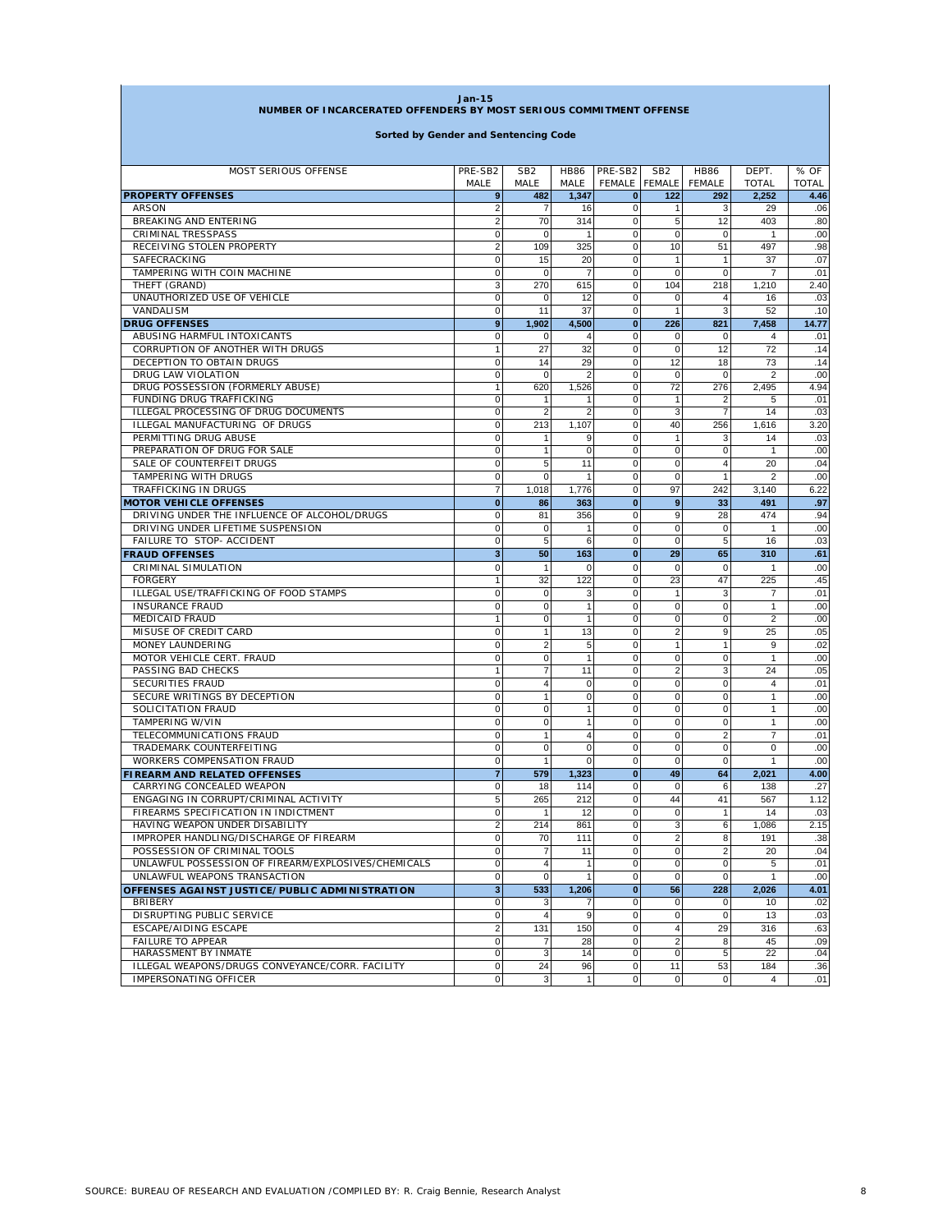| $Jan-15$<br>NUMBER OF INCARCERATED OFFENDERS BY MOST SERIOUS COMMITMENT OFFENSE |                             |                               |                     |                            |                                  |                               |                       |                      |
|---------------------------------------------------------------------------------|-----------------------------|-------------------------------|---------------------|----------------------------|----------------------------------|-------------------------------|-----------------------|----------------------|
|                                                                                 |                             |                               |                     |                            |                                  |                               |                       |                      |
| MOST SERIOUS OFFENSE                                                            | PRE-SB2<br>MALE             | SB <sub>2</sub><br>MALE       | <b>HB86</b><br>MALE | PRE-SB2<br>FEMALE          | SB <sub>2</sub><br><b>FEMALE</b> | <b>HB86</b><br><b>FEMALE</b>  | DEPT.<br><b>TOTAL</b> | % OF<br><b>TOTAL</b> |
| <b>PROPERTY OFFENSES</b>                                                        | 9                           | 482                           | 1,347               | $\mathbf{0}$               | 122                              | 292                           | 2,252                 | 4.46                 |
| <b>ARSON</b>                                                                    | $\overline{2}$              | 7                             | 16                  | 0                          | 1                                | 3                             | 29                    | .06                  |
| BREAKING AND ENTERING                                                           | $\overline{2}$              | 70                            | 314                 | $\mathbf 0$                | 5                                | 12                            | 403                   | .80                  |
| CRIMINAL TRESSPASS                                                              | $\mathbf 0$                 | $\mathbf 0$                   | $\mathbf{1}$        | $\mathbf 0$                | $\mathbf 0$                      | $\Omega$                      | 1                     | .00                  |
| RECEIVING STOLEN PROPERTY                                                       | $\overline{2}$              | 109                           | 325                 | $\mathbf 0$                | 10                               | 51                            | 497                   | .98                  |
| SAFECRACKING                                                                    | $\mathbf 0$                 | 15                            | 20                  | 0                          | 1                                | $\overline{1}$                | 37                    | .07                  |
| TAMPERING WITH COIN MACHINE                                                     | $\mathbf 0$                 | 0                             | 7                   | $\mathbf 0$                | $\mathbf 0$                      | $\mathbf 0$                   | $\overline{7}$        | .01                  |
| THEFT (GRAND)<br>UNAUTHORIZED USE OF VEHICLE                                    | 3<br>$\mathbf 0$            | 270<br>$\mathbf 0$            | 615<br>12           | $\mathbf 0$<br>$\mathbf 0$ | 104<br>0                         | 218<br>$\overline{4}$         | 1,210<br>16           | 2.40<br>.03          |
| VANDALISM                                                                       | $\mathbf 0$                 | 11                            | 37                  | $\mathbf 0$                | $\overline{1}$                   | 3                             | 52                    | .10                  |
| <b>DRUG OFFENSES</b>                                                            | 9                           | 1,902                         | 4,500               | $\bf{0}$                   | 226                              | 821                           | 7,458                 | 14.77                |
| ABUSING HARMFUL INTOXICANTS                                                     | $\mathbf 0$                 | 0                             | 4                   | $\mathbf 0$                | 0                                | $\Omega$                      | 4                     | .01                  |
| CORRUPTION OF ANOTHER WITH DRUGS                                                | $\mathbf{1}$                | 27                            | 32                  | 0                          | 0                                | 12                            | 72                    | .14                  |
| DECEPTION TO OBTAIN DRUGS                                                       | $\mathbf 0$                 | 14                            | 29                  | $\mathbf 0$                | 12                               | 18                            | 73                    | .14                  |
| DRUG LAW VIOLATION                                                              | $\mathbf 0$                 | 0                             | $\overline{2}$      | $\mathbf 0$                | $\mathbf 0$                      | $\mathbf 0$                   | $\overline{2}$        | .00                  |
| DRUG POSSESSION (FORMERLY ABUSE)                                                | $\mathbf{1}$                | 620                           | 1,526               | $\mathbf 0$                | 72                               | 276                           | 2,495                 | 4.94                 |
| FUNDING DRUG TRAFFICKING                                                        | $\mathbf 0$                 | 1                             | 1                   | $\mathbf 0$                | $\mathbf{1}$                     |                               | 5                     | .01                  |
| ILLEGAL PROCESSING OF DRUG DOCUMENTS                                            | $\mathbf 0$                 | $\overline{2}$                | $\overline{2}$      | $\mathbf 0$                | 3                                | $\overline{7}$                | 14                    | .03                  |
| ILLEGAL MANUFACTURING OF DRUGS                                                  | $\mathbf 0$                 | 213                           | 1,107               | $\mathbf 0$                | 40                               | 256                           | 1,616                 | 3.20                 |
| PERMITTING DRUG ABUSE                                                           | $\mathbf 0$                 | $\mathbf{1}$                  | 9                   | $\mathbf 0$                | $\mathbf{1}$                     | 3                             | 14                    | .03                  |
| PREPARATION OF DRUG FOR SALE<br>SALE OF COUNTERFEIT DRUGS                       | $\mathbf 0$<br>$\mathbf 0$  | $\mathbf{1}$<br>5             | $\mathbf 0$<br>11   | $\mathbf 0$<br>$\mathbf 0$ | 0<br>0                           | $\mathbf 0$<br>$\overline{4}$ | 1<br>20               | .00<br>.04           |
| TAMPERING WITH DRUGS                                                            | $\mathbf 0$                 | 0                             | $\mathbf{1}$        | $\mathbf 0$                | 0                                | $\mathbf{1}$                  | $\overline{2}$        | .00                  |
| TRAFFICKING IN DRUGS                                                            | $\overline{7}$              | 1,018                         | 1,776               | $\mathbf 0$                | 97                               | 242                           | 3,140                 | 6.22                 |
| <b>MOTOR VEHICLE OFFENSES</b>                                                   | $\mathbf{0}$                | 86                            | 363                 | $\bf{0}$                   | 9                                | 33                            | 491                   | .97                  |
| DRIVING UNDER THE INFLUENCE OF ALCOHOL/DRUGS                                    | $\mathbf 0$                 | 81                            | 356                 | $\mathbf 0$                | 9                                | 28                            | 474                   | .94                  |
| DRIVING UNDER LIFETIME SUSPENSION                                               | $\mathbf 0$                 | $\mathbf 0$                   | 1                   | $\mathbf 0$                | $\mathbf 0$                      | $\mathbf 0$                   | 1                     | .00                  |
| <b>FAILURE TO STOP- ACCIDENT</b>                                                | $\mathbf 0$                 | 5                             | 6                   | $\mathbf 0$                | $\mathbf 0$                      | 5                             | 16                    | .03                  |
| <b>FRAUD OFFENSES</b>                                                           | 3                           | 50                            | 163                 | $\bf{0}$                   | 29                               | 65                            | 310                   | .61                  |
| CRIMINAL SIMULATION                                                             | 0                           | $\mathbf{1}$                  | $\Omega$            | $\mathbf 0$                | $\mathbf 0$                      | $\Omega$                      | 1                     | .00                  |
| <b>FORGERY</b>                                                                  | 1                           | 32                            | 122                 | $\mathbf 0$                | 23                               | 47                            | 225                   | .45                  |
| ILLEGAL USE/TRAFFICKING OF FOOD STAMPS                                          | $\mathbf 0$                 | $\mathbf 0$                   | 3                   | $\mathbf 0$                | $\mathbf{1}$                     | 3                             | 7                     | .01                  |
| <b>INSURANCE FRAUD</b>                                                          | $\mathbf 0$                 | $\mathbf 0$                   | $\mathbf{1}$        | $\mathbf 0$                | $\mathbf 0$                      | $\mathbf 0$                   | $\mathbf{1}$          | .00                  |
| <b>MEDICAID FRAUD</b>                                                           | $\overline{1}$              | $\mathbf 0$                   | 1                   | 0                          | 0                                | $\Omega$                      | 2                     | .00                  |
| MISUSE OF CREDIT CARD                                                           | $\mathbf 0$                 | 1                             | 13                  | $\mathbf 0$                | $\overline{2}$                   | 9<br>$\overline{1}$           | 25                    | .05                  |
| MONEY LAUNDERING<br>MOTOR VEHICLE CERT. FRAUD                                   | $\mathbf 0$<br>$\mathbf 0$  | $\overline{2}$<br>$\mathbf 0$ | 5<br>$\mathbf{1}$   | $\mathbf 0$<br>$\mathbf 0$ | $\mathbf{1}$<br>$\mathbf 0$      | $\mathbf 0$                   | 9<br>1                | .02<br>.00           |
| PASSING BAD CHECKS                                                              | $\mathbf{1}$                | $\overline{7}$                | 11                  | $\mathbf 0$                | $\overline{2}$                   | 3                             | 24                    | .05                  |
| <b>SECURITIES FRAUD</b>                                                         | $\mathbf 0$                 | $\overline{4}$                | $\mathbf 0$         | $\mathbf 0$                | $\mathbf 0$                      | $\Omega$                      | 4                     | .01                  |
| SECURE WRITINGS BY DECEPTION                                                    | $\mathbf 0$                 | $\mathbf{1}$                  | $\mathbf 0$         | $\mathbf 0$                | 0                                | $\mathbf 0$                   | 1                     | .00                  |
| SOLICITATION FRAUD                                                              | $\mathbf 0$                 | $\mathbf 0$                   | 1                   | $\mathbf 0$                | $\mathbf 0$                      | $\Omega$                      | 1                     | .00                  |
| <b>TAMPERING W/VIN</b>                                                          | $\mathbf 0$                 | $\mathbf 0$                   | $\mathbf{1}$        | $\mathbf 0$                | 0                                | $\mathbf 0$                   | 1                     | .00                  |
| TELECOMMUNICATIONS FRAUD                                                        | $\mathbf 0$                 | 1                             | 4                   | $\mathbf 0$                | $\mathbf 0$                      | $\overline{2}$                | 7                     | .01                  |
| TRADEMARK COUNTERFEITING                                                        | $\mathbf 0$                 | $\mathbf 0$                   | 0                   | $\mathbf 0$                | 0                                | $\mathbf 0$                   | 0                     | .00                  |
| <b>WORKERS COMPENSATION FRAUD</b>                                               | $\mathbf 0$                 | $\mathbf{1}$                  | $\Omega$            | $\mathbf 0$                | 0                                | $\Omega$                      | 1                     | .00                  |
| <b>FIREARM AND RELATED OFFENSES</b>                                             | $\overline{7}$              | 579                           | 1,323               | $\bf{0}$                   | 49                               | 64                            | 2,021                 | 4.00                 |
| CARRYING CONCEALED WEAPON                                                       | 0                           | 18                            | 114                 | $\Omega$                   | 0                                | 6                             | 138                   | .27                  |
| ENGAGING IN CORRUPT/CRIMINAL ACTIVITY                                           | 5                           | 265                           | 212                 | $\mathbf 0$                | 44                               | 41                            | 567                   | 1.12                 |
| FIREARMS SPECIFICATION IN INDICTMENT<br>HAVING WEAPON UNDER DISABILITY          | $\pmb{0}$<br>$\overline{2}$ | $\mathbf{1}$<br>214           | 12<br>861           | $\pmb{0}$<br>$\mathbf 0$   | $\mathbf 0$<br>3                 | $\mathbf{1}$<br>6             | 14<br>1,086           | .03<br>2.15          |
| IMPROPER HANDLING/DISCHARGE OF FIREARM                                          | $\pmb{0}$                   | 70                            | 111                 | $\mathbf 0$                | $\overline{2}$                   | 8                             | 191                   | .38                  |
| POSSESSION OF CRIMINAL TOOLS                                                    | $\mathbf 0$                 | $\boldsymbol{7}$              | 11                  | $\pmb{0}$                  | $\pmb{0}$                        | $\overline{2}$                | 20                    | .04                  |
| UNLAWFUL POSSESSION OF FIREARM/EXPLOSIVES/CHEMICALS                             | $\mathbf 0$                 | $\overline{4}$                | $\mathbf{1}$        | $\mathbf 0$                | $\pmb{0}$                        | $\mathbf 0$                   | 5                     | .01                  |
| UNLAWFUL WEAPONS TRANSACTION                                                    | $\pmb{0}$                   | $\mathbf 0$                   | $\mathbf{1}$        | $\pmb{0}$                  | $\pmb{0}$                        | $\mathbf 0$                   | $\mathbf{1}$          | .00                  |
| OFFENSES AGAINST JUSTICE/PUBLIC ADMINISTRATION                                  | $\overline{\mathbf{3}}$     | 533                           | 1,206               | $\mathbf{0}$               | 56                               | 228                           | 2,026                 | 4.01                 |
| <b>BRIBERY</b>                                                                  | 0                           | 3                             | 7                   | $\mathbf 0$                | 0                                | 0                             | 10                    | .02                  |
| DISRUPTING PUBLIC SERVICE                                                       | $\pmb{0}$                   | $\overline{4}$                | 9                   | $\mathbf 0$                | $\pmb{0}$                        | $\mathbf 0$                   | 13                    | .03                  |
| <b>ESCAPE/AIDING ESCAPE</b>                                                     | $\overline{2}$              | 131                           | 150                 | $\mathbf 0$                | $\overline{4}$                   | 29                            | 316                   | .63                  |
| <b>FAILURE TO APPEAR</b>                                                        | $\pmb{0}$                   | 7                             | 28                  | $\mathbf 0$                | $\overline{2}$                   | 8                             | 45                    | .09                  |
| HARASSMENT BY INMATE                                                            | $\pmb{0}$                   | $\mathbf{3}$                  | 14                  | $\mathbf 0$                | $\mathbf 0$                      | 5                             | 22                    | .04                  |
| ILLEGAL WEAPONS/DRUGS CONVEYANCE/CORR. FACILITY                                 | $\mathbf 0$                 | 24                            | 96                  | $\mathbf 0$                | 11                               | 53                            | 184                   | .36                  |
| IMPERSONATING OFFICER                                                           | $\mathsf 0$                 | $\mathbf{3}$                  | $\mathbf{1}$        | $\mathbf 0$                | 0                                | $\overline{0}$                | $\overline{4}$        | .01                  |

г

٦Ì,